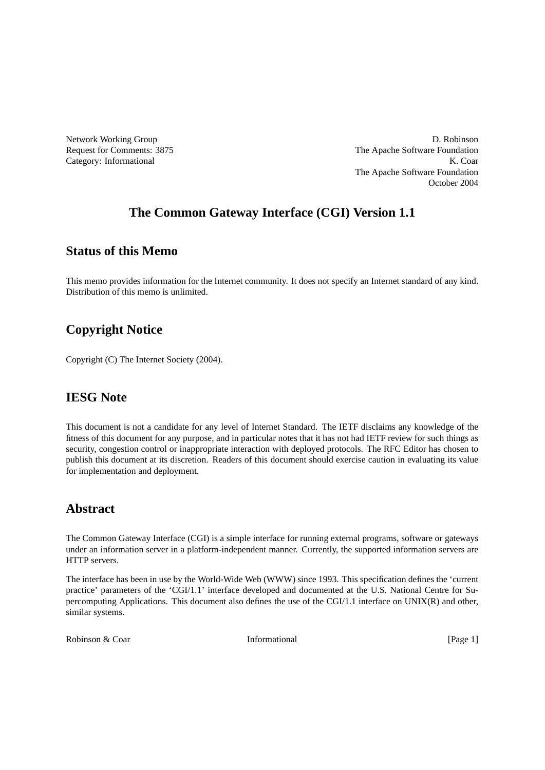Network Working Group D. Robinson Request for Comments: 3875 The Apache Software Foundation Category: Informational K. Coar The Apache Software Foundation October 2004

# **The Common Gateway Interface (CGI) Version 1.1**

# **Status of this Memo**

This memo provides information for the Internet community. It does not specify an Internet standard of any kind. Distribution of this memo is unlimited.

# **Copyright Notice**

Copyright (C) The Internet Society (2004).

# **IESG Note**

This document is not a candidate for any level of Internet Standard. The IETF disclaims any knowledge of the fitness of this document for any purpose, and in particular notes that it has not had IETF review for such things as security, congestion control or inappropriate interaction with deployed protocols. The RFC Editor has chosen to publish this document at its discretion. Readers of this document should exercise caution in evaluating its value for implementation and deployment.

# **Abstract**

The Common Gateway Interface (CGI) is a simple interface for running external programs, software or gateways under an information server in a platform-independent manner. Currently, the supported information servers are HTTP servers.

The interface has been in use by the World-Wide Web (WWW) since 1993. This specification defines the 'current practice' parameters of the 'CGI/1.1' interface developed and documented at the U.S. National Centre for Supercomputing Applications. This document also defines the use of the CGI/1.1 interface on UNIX(R) and other, similar systems.

Robinson & Coar **Informational** [Page 1] **Informational** [Page 1]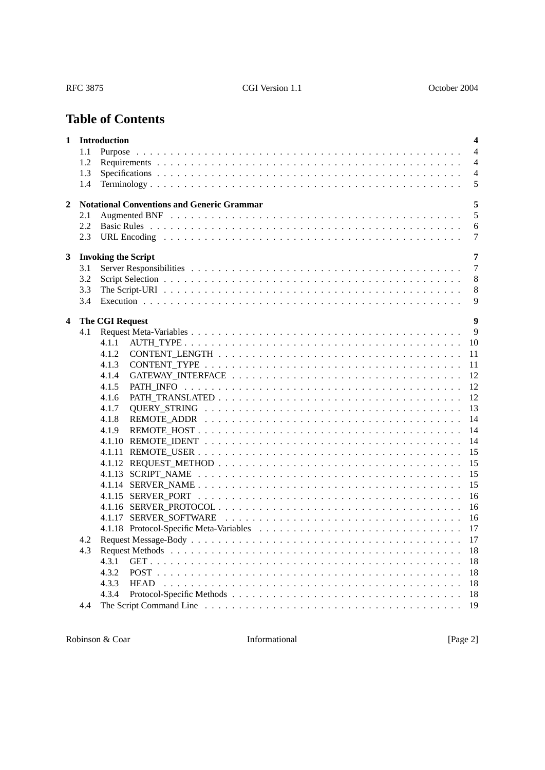# **Table of Contents**

| 1            |     | <b>Introduction</b>                               | $\overline{\mathbf{4}}$ |
|--------------|-----|---------------------------------------------------|-------------------------|
|              | 1.1 | Purpose                                           | $\overline{4}$          |
|              | 1.2 |                                                   | $\overline{4}$          |
|              | 1.3 |                                                   | $\overline{4}$          |
|              | 1.4 |                                                   | 5                       |
| $\mathbf{2}$ |     | <b>Notational Conventions and Generic Grammar</b> | 5                       |
|              | 2.1 |                                                   | 5                       |
|              | 2.2 |                                                   | 6                       |
|              | 2.3 |                                                   | 7                       |
|              |     |                                                   |                         |
| 3            |     | <b>Invoking the Script</b>                        | 7                       |
|              | 3.1 |                                                   | $\tau$                  |
|              | 3.2 |                                                   | 8                       |
|              | 3.3 |                                                   | 8                       |
|              | 3.4 |                                                   | 9                       |
|              |     |                                                   | $\boldsymbol{9}$        |
| 4            | 4.1 | <b>The CGI Request</b>                            | 9                       |
|              |     | 4.1.1                                             | 10                      |
|              |     | 4.1.2                                             | 11                      |
|              |     | 4.1.3                                             | 11                      |
|              |     | 4.1.4                                             | 12                      |
|              |     | 4.1.5                                             | 12                      |
|              |     | 4.1.6                                             | 12                      |
|              |     | 4.1.7                                             | 13                      |
|              |     | 4.1.8                                             | 14                      |
|              |     | 4.1.9                                             | 14                      |
|              |     |                                                   | 14                      |
|              |     |                                                   | 15                      |
|              |     |                                                   | 15                      |
|              |     |                                                   | 15                      |
|              |     |                                                   | 15                      |
|              |     | 4.1.15 SERVER_PORT                                | 16                      |
|              |     |                                                   | 16                      |
|              |     |                                                   | 16                      |
|              |     |                                                   | 17                      |
|              | 4.2 |                                                   | 17                      |
|              | 4.3 |                                                   | 18                      |
|              |     | 4.3.1                                             | 18                      |
|              |     | 4.3.2                                             | 18                      |
|              |     | 4.3.3                                             | 18                      |
|              |     | 4.3.4                                             | 18                      |
|              | 4.4 |                                                   | 19                      |
|              |     |                                                   |                         |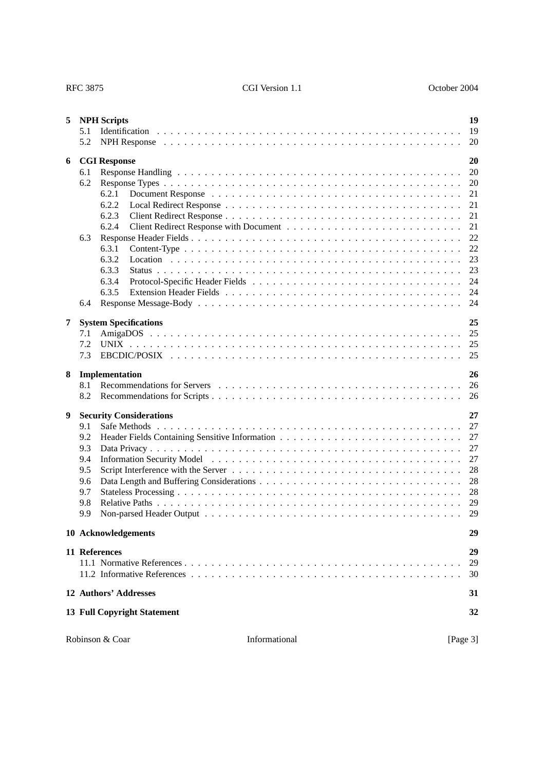| 5 | 5.1<br>5.2                                                  | <b>NPH</b> Scripts                                                                                   | 19<br>19<br>20                                                                   |  |  |  |
|---|-------------------------------------------------------------|------------------------------------------------------------------------------------------------------|----------------------------------------------------------------------------------|--|--|--|
| 6 | 6.1<br>6.2<br>6.3<br>6.4                                    | <b>CGI Response</b><br>6.2.1<br>6.2.2<br>6.2.3<br>6.2.4<br>6.3.1<br>6.3.2<br>6.3.3<br>6.3.4<br>6.3.5 | 20<br>20<br>20<br>21<br>21<br>21<br>21<br>22<br>22<br>23<br>23<br>24<br>24<br>24 |  |  |  |
| 7 | 7.1<br>7.2<br>7.3                                           | <b>System Specifications</b><br><b>UNIX</b>                                                          | 25<br>25<br>25<br>25                                                             |  |  |  |
| 8 | 8.1<br>8.2                                                  | Implementation                                                                                       | 26<br>26<br>26                                                                   |  |  |  |
| 9 | 9.1<br>9.2<br>9.3<br>9.4<br>9.5<br>9.6<br>9.7<br>9.8<br>9.9 | <b>Security Considerations</b>                                                                       | 27<br>27<br>27<br>27<br>27<br>28<br>28<br>28<br>29<br>29                         |  |  |  |
|   |                                                             | 10 Acknowledgements                                                                                  | 29                                                                               |  |  |  |
|   | 11 References<br>29<br>29<br>30                             |                                                                                                      |                                                                                  |  |  |  |
|   |                                                             | 12 Authors' Addresses                                                                                | 31                                                                               |  |  |  |
|   |                                                             | <b>13 Full Copyright Statement</b>                                                                   | 32                                                                               |  |  |  |
|   |                                                             | Informational<br>Robinson & Coar                                                                     | [Page 3]                                                                         |  |  |  |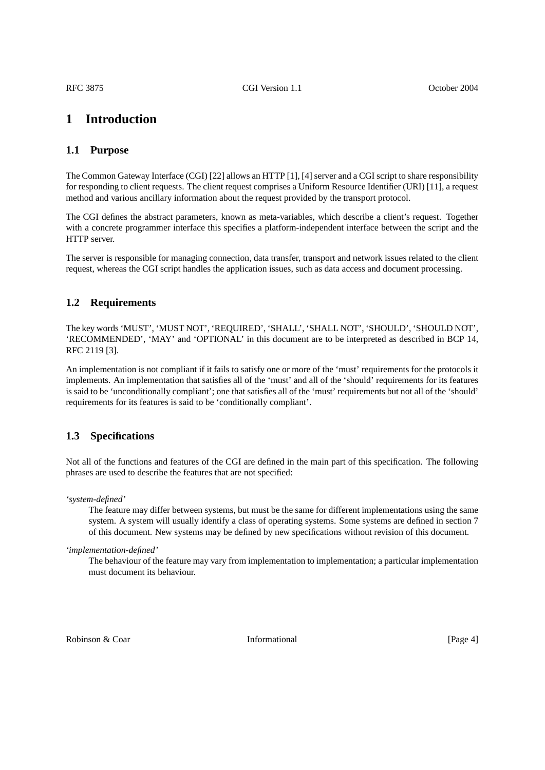# <span id="page-3-0"></span>**1 Introduction**

# <span id="page-3-1"></span>**1.1 Purpose**

The Common Gateway Interface (CGI) [22] allows an HTTP [1], [4] server and a CGI script to share responsibility for responding to client requests. The client request comprises a Uniform Resource Identifier (URI) [11], a request method and various ancillary information about the request provided by the transport protocol.

The CGI defines the abstract parameters, known as meta-variables, which describe a client's request. Together with a concrete programmer interface this specifies a platform-independent interface between the script and the HTTP server.

The server is responsible for managing connection, data transfer, transport and network issues related to the client request, whereas the CGI script handles the application issues, such as data access and document processing.

# <span id="page-3-2"></span>**1.2 Requirements**

The key words 'MUST', 'MUST NOT', 'REQUIRED', 'SHALL', 'SHALL NOT', 'SHOULD', 'SHOULD NOT', 'RECOMMENDED', 'MAY' and 'OPTIONAL' in this document are to be interpreted as described in BCP 14, RFC 2119 [3].

An implementation is not compliant if it fails to satisfy one or more of the 'must' requirements for the protocols it implements. An implementation that satisfies all of the 'must' and all of the 'should' requirements for its features is said to be 'unconditionally compliant'; one that satisfies all of the 'must' requirements but not all of the 'should' requirements for its features is said to be 'conditionally compliant'.

# <span id="page-3-3"></span>**1.3 Specifications**

Not all of the functions and features of the CGI are defined in the main part of this specification. The following phrases are used to describe the features that are not specified:

*'system-defined'*

The feature may differ between systems, but must be the same for different implementations using the same system. A system will usually identify a class of operating systems. Some systems are defined in [section 7](#page-24-0) of this document. New systems may be defined by new specifications without revision of this document.

*'implementation-defined'*

The behaviour of the feature may vary from implementation to implementation; a particular implementation must document its behaviour.

Robinson & Coar **Informational** [Page 4] **Informational** [Page 4]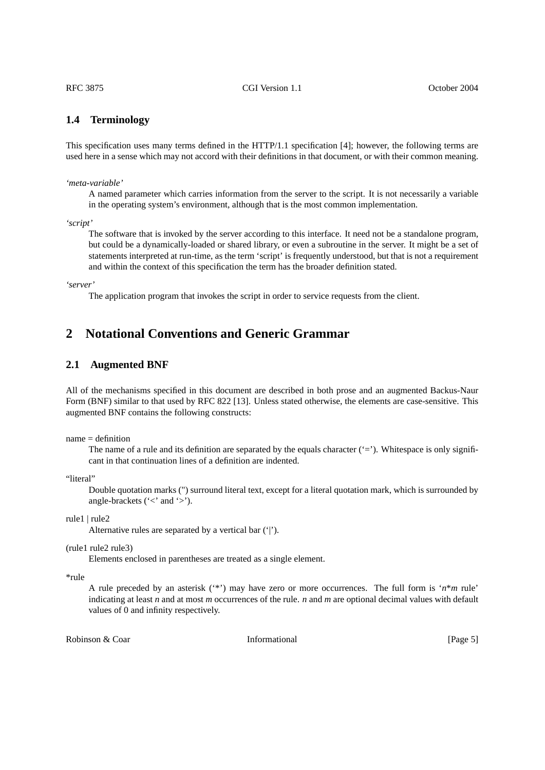### <span id="page-4-0"></span>**1.4 Terminology**

This specification uses many terms defined in the HTTP/1.1 specification [4]; however, the following terms are used here in a sense which may not accord with their definitions in that document, or with their common meaning.

*'meta-variable'*

A named parameter which carries information from the server to the script. It is not necessarily a variable in the operating system's environment, although that is the most common implementation.

*'script'*

The software that is invoked by the server according to this interface. It need not be a standalone program, but could be a dynamically-loaded or shared library, or even a subroutine in the server. It might be a set of statements interpreted at run-time, as the term 'script' is frequently understood, but that is not a requirement and within the context of this specification the term has the broader definition stated.

*'server'*

<span id="page-4-2"></span><span id="page-4-1"></span>The application program that invokes the script in order to service requests from the client.

# **2 Notational Conventions and Generic Grammar**

### **2.1 Augmented BNF**

All of the mechanisms specified in this document are described in both prose and an augmented Backus-Naur Form (BNF) similar to that used by RFC 822 [13]. Unless stated otherwise, the elements are case-sensitive. This augmented BNF contains the following constructs:

 $name = definition$ 

The name of a rule and its definition are separated by the equals character  $(2)$ . Whitespace is only significant in that continuation lines of a definition are indented.

"literal"

Double quotation marks (") surround literal text, except for a literal quotation mark, which is surrounded by angle-brackets ( $\le$ ' and  $\ge$ ').

rule1 | rule2

Alternative rules are separated by a vertical bar ('|').

(rule1 rule2 rule3)

Elements enclosed in parentheses are treated as a single element.

\*rule

A rule preceded by an asterisk (\*\*) may have zero or more occurrences. The full form is  $n*m$  rule' indicating at least *n* and at most *m* occurrences of the rule. *n* and *m* are optional decimal values with default values of 0 and infinity respectively.

Robinson & Coar **Informational Informational** [Page 5]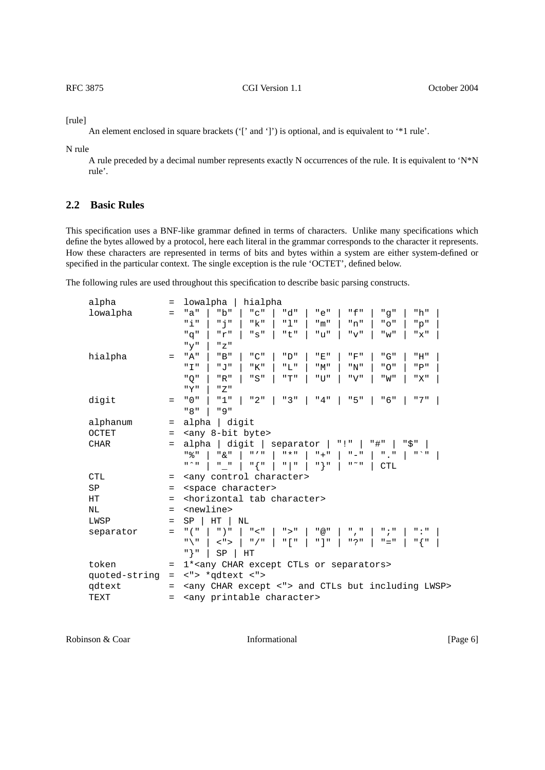[rule]

An element enclosed in square brackets ('[' and ']') is optional, and is equivalent to '\*1 rule'.

N rule

<span id="page-5-0"></span>A rule preceded by a decimal number represents exactly N occurrences of the rule. It is equivalent to 'N\*N rule'.

# **2.2 Basic Rules**

This specification uses a BNF-like grammar defined in terms of characters. Unlike many specifications which define the bytes allowed by a protocol, here each literal in the grammar corresponds to the character it represents. How these characters are represented in terms of bits and bytes within a system are either system-defined or specified in the particular context. The single exception is the rule 'OCTET', defined below.

The following rules are used throughout this specification to describe basic parsing constructs.

| alpha         | Ξ   | lowalpha<br>hialpha                                                                                                                                                                                                                                                                                                                                                                                                                                                                                                              |
|---------------|-----|----------------------------------------------------------------------------------------------------------------------------------------------------------------------------------------------------------------------------------------------------------------------------------------------------------------------------------------------------------------------------------------------------------------------------------------------------------------------------------------------------------------------------------|
| lowalpha      | $=$ | "b"<br>$"$ $\mathrm{C}$ $"$<br>"d"<br>"a"<br>"e"<br>"f"<br>"h"<br>"q"                                                                                                                                                                                                                                                                                                                                                                                                                                                            |
|               |     | "i"<br>프루프<br>"k"<br>"1"<br>"m"<br>"n"<br>" O "<br>"q"                                                                                                                                                                                                                                                                                                                                                                                                                                                                           |
|               |     | "q"<br>"r"<br>"s"<br>"t"<br>"ע"<br>" v"<br>"x"<br>" w "                                                                                                                                                                                                                                                                                                                                                                                                                                                                          |
|               |     | "y"<br>"Z"                                                                                                                                                                                                                                                                                                                                                                                                                                                                                                                       |
| hialpha       | $=$ | "D"<br>"E"<br>"F"<br>"G"<br>" A "<br>"B"<br>"C"<br>"H"                                                                                                                                                                                                                                                                                                                                                                                                                                                                           |
|               |     | " I "<br>"J"<br>"K"<br>"L"<br>"M"<br>"N"<br>" O "<br>"P"                                                                                                                                                                                                                                                                                                                                                                                                                                                                         |
|               |     | " O "<br>"R"<br>"S"<br>"T"<br>$"$ U<br>"V"<br>"W"<br>"X"                                                                                                                                                                                                                                                                                                                                                                                                                                                                         |
|               |     | "Y"<br>" Z "                                                                                                                                                                                                                                                                                                                                                                                                                                                                                                                     |
| digit         | $=$ | " 0 "<br>$"2"$  <br>"3"  <br>"4"<br>"5"<br>" 6 "<br>"7"<br>"1"                                                                                                                                                                                                                                                                                                                                                                                                                                                                   |
|               |     | " 8"<br>" 9 "                                                                                                                                                                                                                                                                                                                                                                                                                                                                                                                    |
| alphanum      | $=$ | alpha   digit                                                                                                                                                                                                                                                                                                                                                                                                                                                                                                                    |
| OCTET         | $=$ | <any 8-bit="" byte=""></any>                                                                                                                                                                                                                                                                                                                                                                                                                                                                                                     |
| <b>CHAR</b>   | $=$ | alpha   digit   separator  <br>"#"<br>"\$"<br>$"$ !"                                                                                                                                                                                                                                                                                                                                                                                                                                                                             |
|               |     | " 옷 "<br>" & "<br>$\mathbf{H}$ $\mathbf{V}$ $\mathbf{H}$<br>$\mathsf{H}$ $\star$ $\mathsf{H}$<br>$" + "$<br>$\blacksquare$ $\blacksquare$ $\blacksquare$<br>$\mathbf{u} \geq \mathbf{u}$<br>$^{\rm II}$ $=$ $^{\rm II}$ .                                                                                                                                                                                                                                                                                                        |
|               |     | $\mathfrak{n} \wedge \mathfrak{n}$<br>프 (프<br>$\mathsf{H}$ ) $\mathsf{H}$<br>$\mathbf{u}=\mathbf{u}$<br>$\mathbf{u}$   $\mathbf{u}$<br>$\mathfrak{n} \simeq \mathfrak{n}$<br><b>CTL</b>                                                                                                                                                                                                                                                                                                                                          |
| <b>CTL</b>    | =   | <any character="" control=""></any>                                                                                                                                                                                                                                                                                                                                                                                                                                                                                              |
| SP            | =   | <space character=""></space>                                                                                                                                                                                                                                                                                                                                                                                                                                                                                                     |
| HТ            | $=$ | <horizontal character="" tab=""></horizontal>                                                                                                                                                                                                                                                                                                                                                                                                                                                                                    |
| NL            | $=$ | <newline></newline>                                                                                                                                                                                                                                                                                                                                                                                                                                                                                                              |
| LWSP          | $=$ | HT<br>SP<br>ΝL                                                                                                                                                                                                                                                                                                                                                                                                                                                                                                                   |
| separator     | $=$ | $"$ ( $"$<br>$"$ ) "<br>$"$ < $"$<br>">'<br>$^{\prime\prime}$ @ $^{\prime\prime}$<br>";"<br>л, п<br>$\mathsf{m}$ : $\mathsf{m}$                                                                                                                                                                                                                                                                                                                                                                                                  |
|               |     | $\mathbb{F}$ $\mathbb{F}$ $\mathbb{F}$<br>" ? "<br>$\mathfrak{n}\setminus\mathfrak{n}$<br>$\langle$ "> $ $<br>$\mathsf{H}$ / $\mathsf{H}$<br>$\mathbb{R}$ $\mathbb{R}$ $\mathbb{R}$ $\mathbb{R}$ $\mathbb{R}$ $\mathbb{R}$ $\mathbb{R}$ $\mathbb{R}$ $\mathbb{R}$ $\mathbb{R}$ $\mathbb{R}$ $\mathbb{R}$ $\mathbb{R}$ $\mathbb{R}$ $\mathbb{R}$ $\mathbb{R}$ $\mathbb{R}$ $\mathbb{R}$ $\mathbb{R}$ $\mathbb{R}$ $\mathbb{R}$ $\mathbb{R}$ $\mathbb{R}$ $\mathbb{R}$ $\mathbb{$<br>$" = "$<br>$\mathfrak{n}$ $\{$ $\mathfrak{n}$ |
|               |     | ո } ո<br>SP<br>$\rm HT$                                                                                                                                                                                                                                                                                                                                                                                                                                                                                                          |
| token         | $=$ | 1* <any char="" ctls="" except="" or="" separators=""></any>                                                                                                                                                                                                                                                                                                                                                                                                                                                                     |
| quoted-string | $=$ | <"> *qdtext <">                                                                                                                                                                                                                                                                                                                                                                                                                                                                                                                  |
| qdtext        | $=$ | <any <"="" char="" except=""> and CTLs but including LWSP&gt;</any>                                                                                                                                                                                                                                                                                                                                                                                                                                                              |
| <b>TEXT</b>   | $=$ | <any character="" printable=""></any>                                                                                                                                                                                                                                                                                                                                                                                                                                                                                            |

Robinson & Coar Informational [Page 6]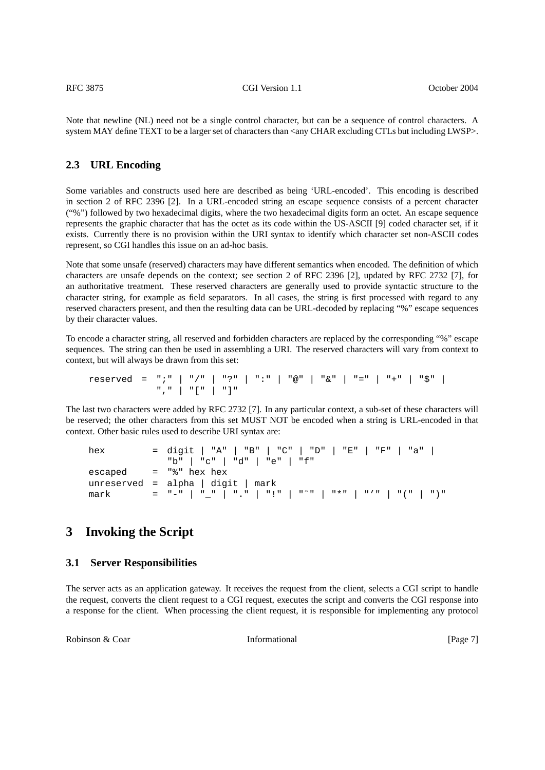Note that newline (NL) need not be a single control character, but can be a sequence of control characters. A system MAY define TEXT to be a larger set of characters than <any CHAR excluding CTLs but including LWSP>.

# <span id="page-6-0"></span>**2.3 URL Encoding**

Some variables and constructs used here are described as being 'URL-encoded'. This encoding is described in section 2 of RFC 2396 [2]. In a URL-encoded string an escape sequence consists of a percent character ("%") followed by two hexadecimal digits, where the two hexadecimal digits form an octet. An escape sequence represents the graphic character that has the octet as its code within the US-ASCII [9] coded character set, if it exists. Currently there is no provision within the URI syntax to identify which character set non-ASCII codes represent, so CGI handles this issue on an ad-hoc basis.

Note that some unsafe (reserved) characters may have different semantics when encoded. The definition of which characters are unsafe depends on the context; see section 2 of RFC 2396 [2], updated by RFC 2732 [7], for an authoritative treatment. These reserved characters are generally used to provide syntactic structure to the character string, for example as field separators. In all cases, the string is first processed with regard to any reserved characters present, and then the resulting data can be URL-decoded by replacing "%" escape sequences by their character values.

To encode a character string, all reserved and forbidden characters are replaced by the corresponding "%" escape sequences. The string can then be used in assembling a URI. The reserved characters will vary from context to context, but will always be drawn from this set:

reserved = ";" | "/" | "?" | ":" | "@" | "&" | "=" | "+" | "\$" | "," | "[" | "]"

The last two characters were added by RFC 2732 [7]. In any particular context, a sub-set of these characters will be reserved; the other characters from this set MUST NOT be encoded when a string is URL-encoded in that context. Other basic rules used to describe URI syntax are:

| hex  | = digit   "A"   "B"   "C"   "D"   "E"   "F"   "a" |
|------|---------------------------------------------------|
|      | "b"   "c"   "d"   "e"   "f"                       |
|      | $\text{escaped}$ = " $\text{*}$ " hex hex         |
|      | unreserved = alpha $\mid$ digit $\mid$ mark       |
| mark |                                                   |

# **3 Invoking the Script**

### **3.1 Server Responsibilities**

The server acts as an application gateway. It receives the request from the client, selects a CGI script to handle the request, converts the client request to a CGI request, executes the script and converts the CGI response into a response for the client. When processing the client request, it is responsible for implementing any protocol

Robinson & Coar **Informational Informational** [Page 7]

<span id="page-6-2"></span><span id="page-6-1"></span>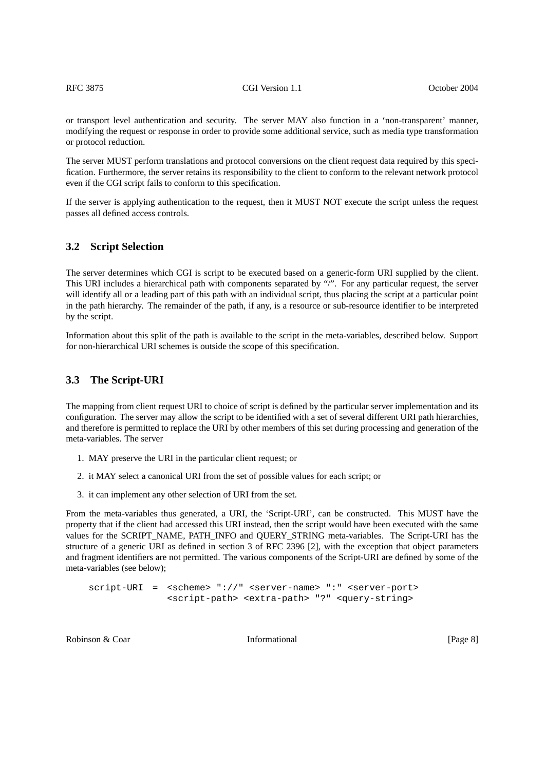or transport level authentication and security. The server MAY also function in a 'non-transparent' manner, modifying the request or response in order to provide some additional service, such as media type transformation or protocol reduction.

The server MUST perform translations and protocol conversions on the client request data required by this specification. Furthermore, the server retains its responsibility to the client to conform to the relevant network protocol even if the CGI script fails to conform to this specification.

If the server is applying authentication to the request, then it MUST NOT execute the script unless the request passes all defined access controls.

# <span id="page-7-0"></span>**3.2 Script Selection**

The server determines which CGI is script to be executed based on a generic-form URI supplied by the client. This URI includes a hierarchical path with components separated by "/". For any particular request, the server will identify all or a leading part of this path with an individual script, thus placing the script at a particular point in the path hierarchy. The remainder of the path, if any, is a resource or sub-resource identifier to be interpreted by the script.

Information about this split of the path is available to the script in the meta-variables, described below. Support for non-hierarchical URI schemes is outside the scope of this specification.

### <span id="page-7-1"></span>**3.3 The Script-URI**

The mapping from client request URI to choice of script is defined by the particular server implementation and its configuration. The server may allow the script to be identified with a set of several different URI path hierarchies, and therefore is permitted to replace the URI by other members of this set during processing and generation of the meta-variables. The server

- 1. MAY preserve the URI in the particular client request; or
- 2. it MAY select a canonical URI from the set of possible values for each script; or
- 3. it can implement any other selection of URI from the set.

From the meta-variables thus generated, a URI, the 'Script-URI', can be constructed. This MUST have the property that if the client had accessed this URI instead, then the script would have been executed with the same values for the SCRIPT\_NAME, PATH\_INFO and QUERY\_STRING meta-variables. The Script-URI has the structure of a generic URI as defined in section 3 of RFC 2396 [2], with the exception that object parameters and fragment identifiers are not permitted. The various components of the Script-URI are defined by some of the meta-variables (see below);

```
script-URI = <scheme> "://" <server-name> ":" <server-port>
              <script-path> <extra-path> "?" <query-string>
```
Robinson & Coar **Informational** [Page 8] [Page 8]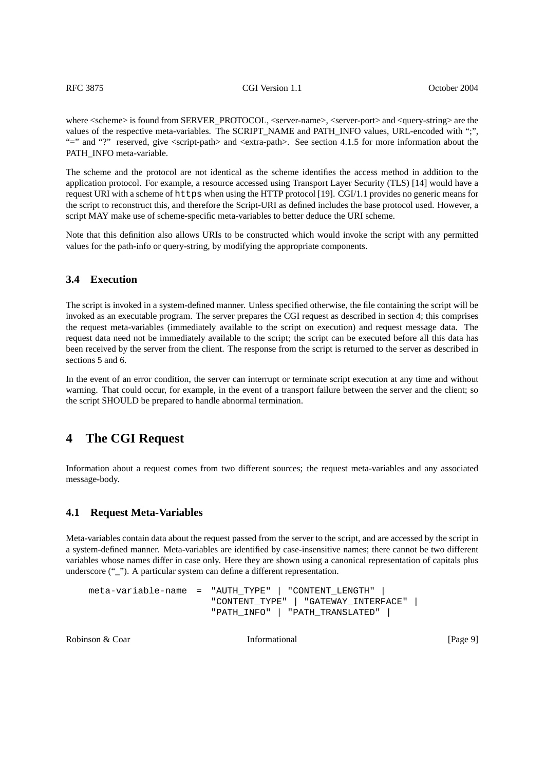where  $\leq$ scheme $\geq$  is found from SERVER\_PROTOCOL,  $\leq$ server-name $\geq$ ,  $\leq$ server-port $\geq$  and  $\leq$ query-string $\geq$  are the values of the respective meta-variables. The SCRIPT\_NAME and PATH\_INFO values, URL-encoded with ";", "=" and "?" reserved, give <script-path> and <extra-path>. See [section 4.1.5](#page-11-1) for more information about the PATH\_INFO meta-variable.

The scheme and the protocol are not identical as the scheme identifies the access method in addition to the application protocol. For example, a resource accessed using Transport Layer Security (TLS) [14] would have a request URI with a scheme of https when using the HTTP protocol [19]. CGI/1.1 provides no generic means for the script to reconstruct this, and therefore the Script-URI as defined includes the base protocol used. However, a script MAY make use of scheme-specific meta-variables to better deduce the URI scheme.

Note that this definition also allows URIs to be constructed which would invoke the script with any permitted values for the path-info or query-string, by modifying the appropriate components.

#### <span id="page-8-0"></span>**3.4 Execution**

The script is invoked in a system-defined manner. Unless specified otherwise, the file containing the script will be invoked as an executable program. The server prepares the CGI request as described in [section 4;](#page-8-1) this comprises the request meta-variables (immediately available to the script on execution) and request message data. The request data need not be immediately available to the script; the script can be executed before all this data has been received by the server from the client. The response from the script is returned to the server as described in sections [5](#page-18-1) and [6.](#page-19-1)

In the event of an error condition, the server can interrupt or terminate script execution at any time and without warning. That could occur, for example, in the event of a transport failure between the server and the client; so the script SHOULD be prepared to handle abnormal termination.

# <span id="page-8-1"></span>**4 The CGI Request**

Information about a request comes from two different sources; the request meta-variables and any associated message-body.

#### **4.1 Request Meta-Variables**

Meta-variables contain data about the request passed from the server to the script, and are accessed by the script in a system-defined manner. Meta-variables are identified by case-insensitive names; there cannot be two different variables whose names differ in case only. Here they are shown using a canonical representation of capitals plus underscore ("\_"). A particular system can define a different representation.

```
meta-variable-name = "AUTH_TYPE" | "CONTENT_LENGTH" |
                      "CONTENT_TYPE" | "GATEWAY_INTERFACE" |
                      "PATH_INFO" | "PATH_TRANSLATED" |
```
Robinson & Coar **Informational Informational** [Page 9]

<span id="page-8-2"></span>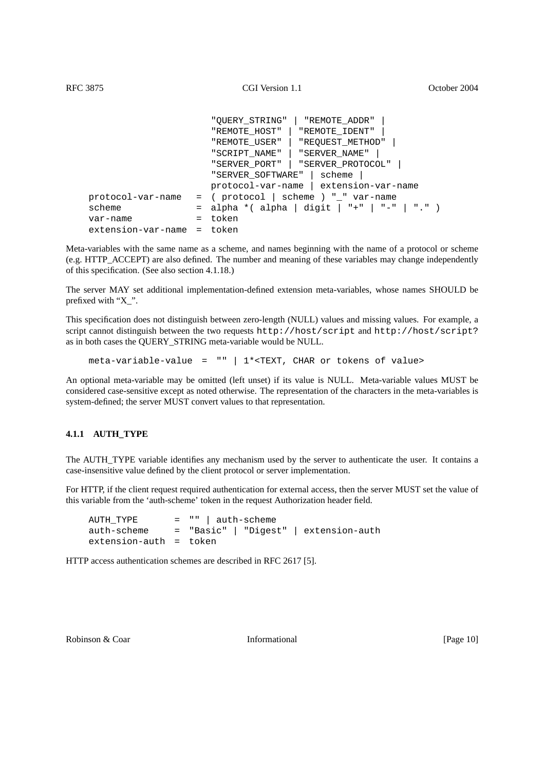```
"QUERY_STRING" | "REMOTE_ADDR" |
                     "REMOTE_HOST" | "REMOTE_IDENT" |
                     "REMOTE_USER" | "REQUEST_METHOD" |
                     "SCRIPT_NAME" | "SERVER_NAME" |
                     "SERVER_PORT" | "SERVER_PROTOCOL" |
                     "SERVER_SOFTWARE" | scheme |
                     protocol-var-name | extension-var-name
protocol-var-name = ( protocol | scheme ) "_" var-name
scheme = alpha *( alpha | digit | "+" | "-" | "." )
var-name = token
extension-var-name = token
```
Meta-variables with the same name as a scheme, and names beginning with the name of a protocol or scheme (e.g. HTTP\_ACCEPT) are also defined. The number and meaning of these variables may change independently of this specification. (See also [section 4.1.18.](#page-16-0))

The server MAY set additional implementation-defined extension meta-variables, whose names SHOULD be prefixed with "X\_".

This specification does not distinguish between zero-length (NULL) values and missing values. For example, a script cannot distinguish between the two requests http://host/script and http://host/script? as in both cases the QUERY\_STRING meta-variable would be NULL.

meta-variable-value = "" | 1\*<TEXT, CHAR or tokens of value>

An optional meta-variable may be omitted (left unset) if its value is NULL. Meta-variable values MUST be considered case-sensitive except as noted otherwise. The representation of the characters in the meta-variables is system-defined; the server MUST convert values to that representation.

#### <span id="page-9-0"></span>**4.1.1 AUTH\_TYPE**

The AUTH\_TYPE variable identifies any mechanism used by the server to authenticate the user. It contains a case-insensitive value defined by the client protocol or server implementation.

For HTTP, if the client request required authentication for external access, then the server MUST set the value of this variable from the 'auth-scheme' token in the request Authorization header field.

AUTH TYPE  $= " " | author-scheme$ auth-scheme = "Basic" | "Digest" | extension-auth extension-auth = token

HTTP access authentication schemes are described in RFC 2617 [5].

Robinson & Coar **Informational Informational** [Page 10]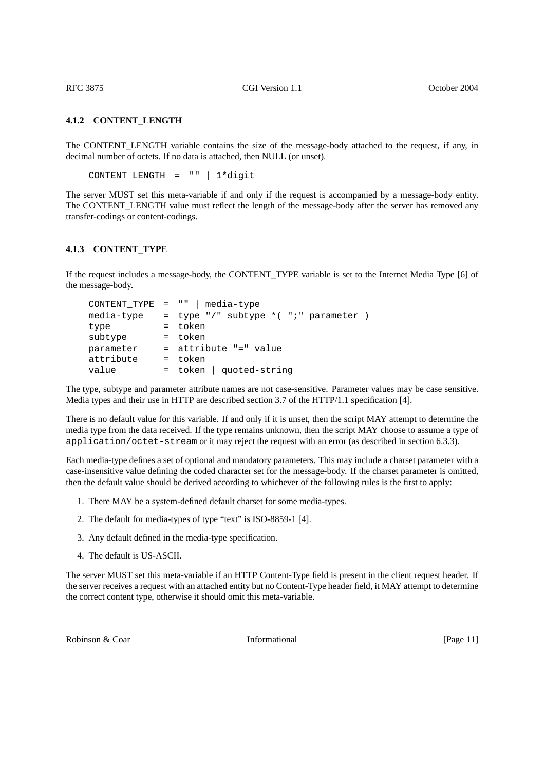#### **4.1.2 CONTENT\_LENGTH**

The CONTENT\_LENGTH variable contains the size of the message-body attached to the request, if any, in decimal number of octets. If no data is attached, then NULL (or unset).

<span id="page-10-0"></span>CONTENT\_LENGTH = "" | 1\*digit

The server MUST set this meta-variable if and only if the request is accompanied by a message-body entity. The CONTENT\_LENGTH value must reflect the length of the message-body after the server has removed any transfer-codings or content-codings.

### **4.1.3 CONTENT\_TYPE**

If the request includes a message-body, the CONTENT\_TYPE variable is set to the Internet Media Type [6] of the message-body.

<span id="page-10-1"></span>

|            | $CONTENT_TYPE = ""   media-type$        |
|------------|-----------------------------------------|
| media-type | = type "/" subtype $*($ ";" parameter ) |
| type       | = token                                 |
| subtype    | = token                                 |
| parameter  | = attribute "=" value                   |
| attribute  | = token                                 |
| value      | $=$ token   quoted-string               |

The type, subtype and parameter attribute names are not case-sensitive. Parameter values may be case sensitive. Media types and their use in HTTP are described section 3.7 of the HTTP/1.1 specification [4].

There is no default value for this variable. If and only if it is unset, then the script MAY attempt to determine the media type from the data received. If the type remains unknown, then the script MAY choose to assume a type of application/octet-stream or it may reject the request with an error (as described in [section 6.3.3\)](#page-22-1).

Each media-type defines a set of optional and mandatory parameters. This may include a charset parameter with a case-insensitive value defining the coded character set for the message-body. If the charset parameter is omitted, then the default value should be derived according to whichever of the following rules is the first to apply:

- 1. There MAY be a system-defined default charset for some media-types.
- 2. The default for media-types of type "text" is ISO-8859-1 [4].
- 3. Any default defined in the media-type specification.
- 4. The default is US-ASCII.

The server MUST set this meta-variable if an HTTP Content-Type field is present in the client request header. If the server receives a request with an attached entity but no Content-Type header field, it MAY attempt to determine the correct content type, otherwise it should omit this meta-variable.

Robinson & Coar **Informational Informational** [Page 11]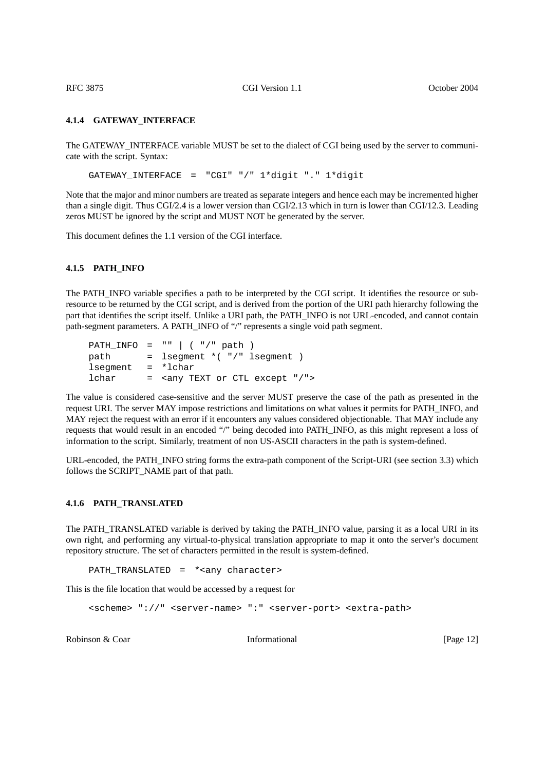#### **4.1.4 GATEWAY\_INTERFACE**

The GATEWAY\_INTERFACE variable MUST be set to the dialect of CGI being used by the server to communicate with the script. Syntax:

<span id="page-11-0"></span>GATEWAY\_INTERFACE = "CGI" "/" 1\*digit "." 1\*digit

Note that the major and minor numbers are treated as separate integers and hence each may be incremented higher than a single digit. Thus CGI/2.4 is a lower version than CGI/2.13 which in turn is lower than CGI/12.3. Leading zeros MUST be ignored by the script and MUST NOT be generated by the server.

This document defines the 1.1 version of the CGI interface.

#### <span id="page-11-1"></span>**4.1.5 PATH\_INFO**

The PATH\_INFO variable specifies a path to be interpreted by the CGI script. It identifies the resource or subresource to be returned by the CGI script, and is derived from the portion of the URI path hierarchy following the part that identifies the script itself. Unlike a URI path, the PATH\_INFO is not URL-encoded, and cannot contain path-segment parameters. A PATH\_INFO of "/" represents a single void path segment.

```
PATH_INFO = "" | ("/" path )path = lsegment * ( " / " lsegment )lsegment = *lchar
lchar = <any TEXT or CTL except "/">
```
The value is considered case-sensitive and the server MUST preserve the case of the path as presented in the request URI. The server MAY impose restrictions and limitations on what values it permits for PATH\_INFO, and MAY reject the request with an error if it encounters any values considered objectionable. That MAY include any requests that would result in an encoded "/" being decoded into PATH\_INFO, as this might represent a loss of information to the script. Similarly, treatment of non US-ASCII characters in the path is system-defined.

URL-encoded, the PATH\_INFO string forms the extra-path component of the Script-URI (see [section 3.3\)](#page-7-1) which follows the SCRIPT\_NAME part of that path.

#### **4.1.6 PATH\_TRANSLATED**

The PATH\_TRANSLATED variable is derived by taking the PATH\_INFO value, parsing it as a local URI in its own right, and performing any virtual-to-physical translation appropriate to map it onto the server's document repository structure. The set of characters permitted in the result is system-defined.

<span id="page-11-2"></span>PATH\_TRANSLATED = \*<any character>

This is the file location that would be accessed by a request for

```
<scheme> "://" <server-name> ":" <server-port> <extra-path>
```
Robinson & Coar **Informational Informational** [Page 12]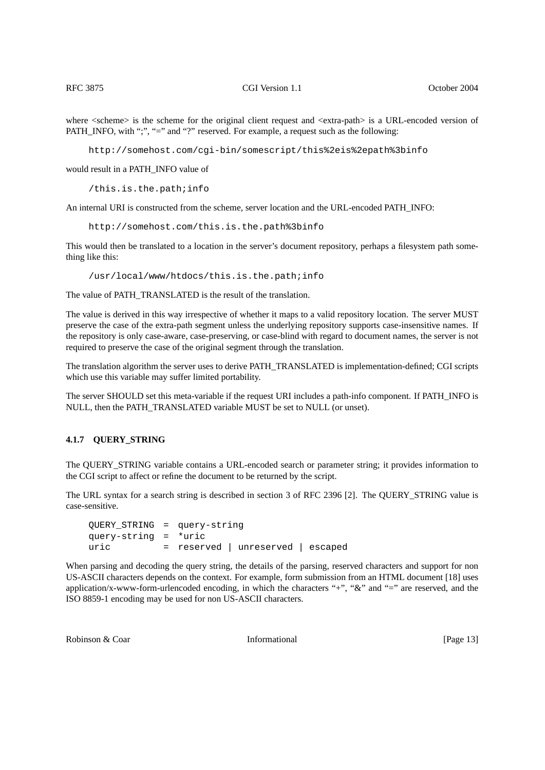where  $\leq$ scheme $\geq$  is the scheme for the original client request and  $\leq$ extra-path $\geq$  is a URL-encoded version of PATH\_INFO, with ";", "=" and "?" reserved. For example, a request such as the following:

http://somehost.com/cgi-bin/somescript/this%2eis%2epath%3binfo

would result in a PATH\_INFO value of

/this.is.the.path;info

An internal URI is constructed from the scheme, server location and the URL-encoded PATH\_INFO:

http://somehost.com/this.is.the.path%3binfo

This would then be translated to a location in the server's document repository, perhaps a filesystem path something like this:

/usr/local/www/htdocs/this.is.the.path;info

The value of PATH\_TRANSLATED is the result of the translation.

The value is derived in this way irrespective of whether it maps to a valid repository location. The server MUST preserve the case of the extra-path segment unless the underlying repository supports case-insensitive names. If the repository is only case-aware, case-preserving, or case-blind with regard to document names, the server is not required to preserve the case of the original segment through the translation.

The translation algorithm the server uses to derive PATH\_TRANSLATED is implementation-defined; CGI scripts which use this variable may suffer limited portability.

The server SHOULD set this meta-variable if the request URI includes a path-info component. If PATH\_INFO is NULL, then the PATH\_TRANSLATED variable MUST be set to NULL (or unset).

### <span id="page-12-0"></span>**4.1.7 QUERY\_STRING**

The QUERY\_STRING variable contains a URL-encoded search or parameter string; it provides information to the CGI script to affect or refine the document to be returned by the script.

The URL syntax for a search string is described in section 3 of RFC 2396 [2]. The QUERY\_STRING value is case-sensitive.

QUERY\_STRING = query-string query-string = \*uric uric = reserved | unreserved | escaped

When parsing and decoding the query string, the details of the parsing, reserved characters and support for non US-ASCII characters depends on the context. For example, form submission from an HTML document [18] uses application/x-www-form-urlencoded encoding, in which the characters "+", " $\&$ " and "=" are reserved, and the ISO 8859-1 encoding may be used for non US-ASCII characters.

Robinson & Coar **Informational Informational** [Page 13]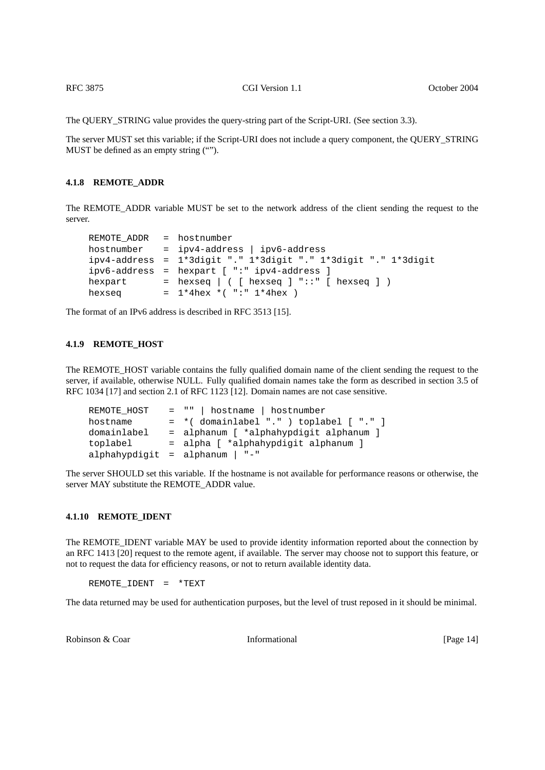The QUERY\_STRING value provides the query-string part of the Script-URI. (See [section 3.3\)](#page-7-1).

The server MUST set this variable; if the Script-URI does not include a query component, the QUERY\_STRING MUST be defined as an empty string ("").

#### **4.1.8 REMOTE\_ADDR**

The REMOTE\_ADDR variable MUST be set to the network address of the client sending the request to the server.

```
REMOTE ADDR = hostnumber
hostnumber = ipv4-address | ipv6-address
ipv4-address = 1*3digit "." 1*3digit "." 1*3digit "." 1*3digit
ipv6-address = hexpart [ ":" ipv4-address ]
hexpart = hexseq | ( [ hexseq ] "::" [ hexseq ] )
hexseq = 1*4hex *( ":" 1*4hex )
```
The format of an IPv6 address is described in RFC 3513 [15].

#### <span id="page-13-1"></span>**4.1.9 REMOTE\_HOST**

The REMOTE\_HOST variable contains the fully qualified domain name of the client sending the request to the server, if available, otherwise NULL. Fully qualified domain names take the form as described in section 3.5 of RFC 1034 [17] and section 2.1 of RFC 1123 [12]. Domain names are not case sensitive.

```
REMOTE_HOST = "" | hostname | hostnumber
hostname = *( domainlabel "." ) toplabel [ "." ]
domainlabel = alphanum [ *alphahypdigit alphanum ]
toplabel = alpha [ *alphahypdigit alphanum ]
alphahypdigit = alphanum | "-"
```
The server SHOULD set this variable. If the hostname is not available for performance reasons or otherwise, the server MAY substitute the REMOTE\_ADDR value.

#### <span id="page-13-2"></span>**4.1.10 REMOTE\_IDENT**

The REMOTE\_IDENT variable MAY be used to provide identity information reported about the connection by an RFC 1413 [20] request to the remote agent, if available. The server may choose not to support this feature, or not to request the data for efficiency reasons, or not to return available identity data.

REMOTE\_IDENT = \*TEXT

The data returned may be used for authentication purposes, but the level of trust reposed in it should be minimal.

Robinson & Coar **Informational Informational IPage 14**]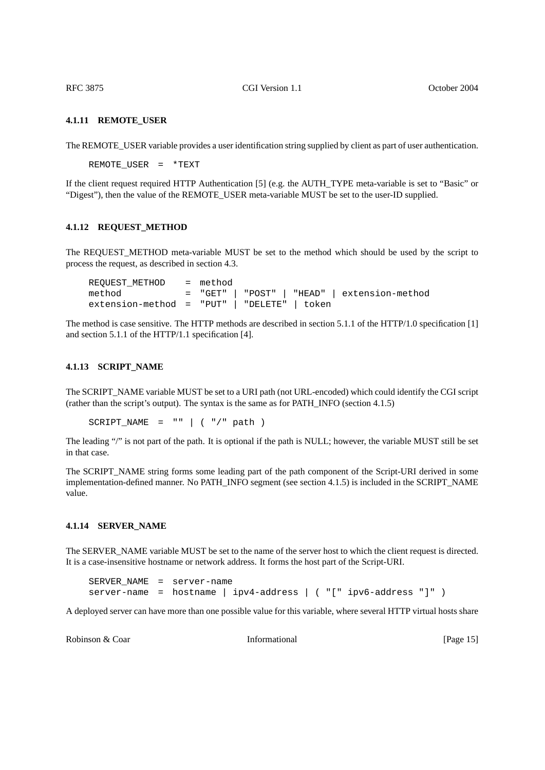#### **4.1.11 REMOTE\_USER**

The REMOTE\_USER variable provides a user identification string supplied by client as part of user authentication.

<span id="page-14-0"></span>REMOTE\_USER = \*TEXT

If the client request required HTTP Authentication [5] (e.g. the AUTH\_TYPE meta-variable is set to "Basic" or "Digest"), then the value of the REMOTE\_USER meta-variable MUST be set to the user-ID supplied.

#### **4.1.12 REQUEST\_METHOD**

The REQUEST\_METHOD meta-variable MUST be set to the method which should be used by the script to process the request, as described in [section 4.3.](#page-17-0)

<span id="page-14-1"></span>

| REOUEST METHOD = method                       |  |  |                                              |
|-----------------------------------------------|--|--|----------------------------------------------|
| method                                        |  |  | = "GET"   "POST"   "HEAD"   extension-method |
| $extension-method = "PUT"   "DELETE"   token$ |  |  |                                              |

The method is case sensitive. The HTTP methods are described in section 5.1.1 of the HTTP/1.0 specification [1] and section 5.1.1 of the HTTP/1.1 specification [4].

### **4.1.13 SCRIPT\_NAME**

The SCRIPT\_NAME variable MUST be set to a URI path (not URL-encoded) which could identify the CGI script (rather than the script's output). The syntax is the same as for PATH\_INFO [\(section 4.1.5\)](#page-11-1)

<span id="page-14-2"></span> $SCRIPT_NAME = " " | ( " / " path )$ 

The leading "/" is not part of the path. It is optional if the path is NULL; however, the variable MUST still be set in that case.

The SCRIPT\_NAME string forms some leading part of the path component of the Script-URI derived in some implementation-defined manner. No PATH\_INFO segment (see [section 4.1.5](#page-11-1)) is included in the SCRIPT\_NAME value.

#### **4.1.14 SERVER\_NAME**

The SERVER\_NAME variable MUST be set to the name of the server host to which the client request is directed. It is a case-insensitive hostname or network address. It forms the host part of the Script-URI.

<span id="page-14-3"></span>SERVER\_NAME = server-name server-name = hostname | ipv4-address | ( "[" ipv6-address "]" )

A deployed server can have more than one possible value for this variable, where several HTTP virtual hosts share

Robinson & Coar **Informational Informational** [Page 15]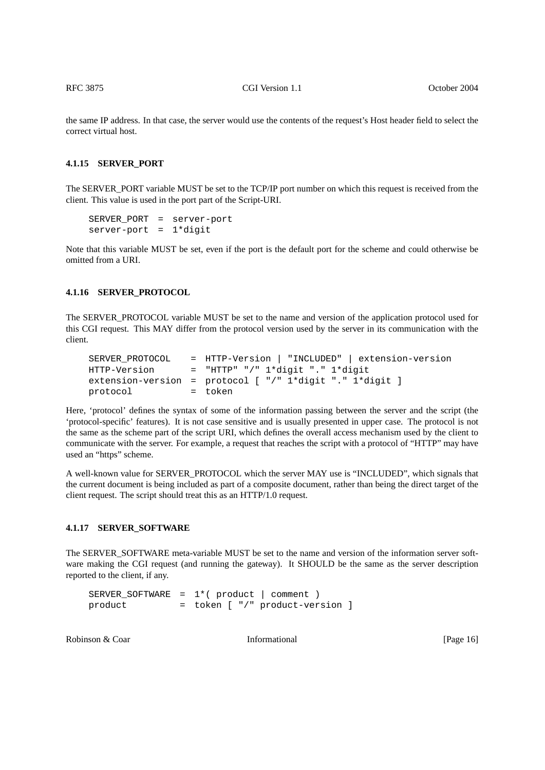the same IP address. In that case, the server would use the contents of the request's Host header field to select the correct virtual host.

#### **4.1.15 SERVER\_PORT**

The SERVER\_PORT variable MUST be set to the TCP/IP port number on which this request is received from the client. This value is used in the port part of the Script-URI.

```
SERVER_PORT = server-port
server-port = 1*digit
```
Note that this variable MUST be set, even if the port is the default port for the scheme and could otherwise be omitted from a URI.

#### **4.1.16 SERVER\_PROTOCOL**

The SERVER\_PROTOCOL variable MUST be set to the name and version of the application protocol used for this CGI request. This MAY differ from the protocol version used by the server in its communication with the client.

```
SERVER_PROTOCOL = HTTP-Version | "INCLUDED" | extension-version
HTTP-Version = "HTTP" "/" 1*digit "." 1*digit
extension-version = protocol [ "/" 1*digit "." 1*digit ]
protocol = token
```
Here, 'protocol' defines the syntax of some of the information passing between the server and the script (the 'protocol-specific' features). It is not case sensitive and is usually presented in upper case. The protocol is not the same as the scheme part of the script URI, which defines the overall access mechanism used by the client to communicate with the server. For example, a request that reaches the script with a protocol of "HTTP" may have used an "https" scheme.

A well-known value for SERVER\_PROTOCOL which the server MAY use is "INCLUDED", which signals that the current document is being included as part of a composite document, rather than being the direct target of the client request. The script should treat this as an HTTP/1.0 request.

#### **4.1.17 SERVER\_SOFTWARE**

The SERVER\_SOFTWARE meta-variable MUST be set to the name and version of the information server software making the CGI request (and running the gateway). It SHOULD be the same as the server description reported to the client, if any.

```
SERVER_SOFTWARE = 1*( product | comment )
product = token [ "/" product-version ]
```
Robinson & Coar **Informational Informational IPage 16**]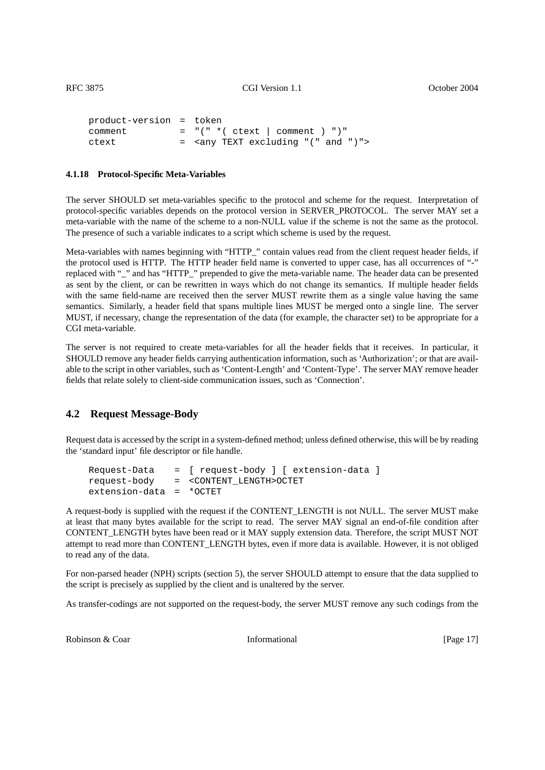```
product-version = token
comment = "(" * ( ctext | comment ) ")"ctext = <any TEXT excluding "(" and ")">
```
#### **4.1.18 Protocol-Specific Meta-Variables**

The server SHOULD set meta-variables specific to the protocol and scheme for the request. Interpretation of protocol-specific variables depends on the protocol version in SERVER\_PROTOCOL. The server MAY set a meta-variable with the name of the scheme to a non-NULL value if the scheme is not the same as the protocol. The presence of such a variable indicates to a script which scheme is used by the request.

Meta-variables with names beginning with "HTTP\_" contain values read from the client request header fields, if the protocol used is HTTP. The HTTP header field name is converted to upper case, has all occurrences of "-" replaced with "\_" and has "HTTP\_" prepended to give the meta-variable name. The header data can be presented as sent by the client, or can be rewritten in ways which do not change its semantics. If multiple header fields with the same field-name are received then the server MUST rewrite them as a single value having the same semantics. Similarly, a header field that spans multiple lines MUST be merged onto a single line. The server MUST, if necessary, change the representation of the data (for example, the character set) to be appropriate for a CGI meta-variable.

The server is not required to create meta-variables for all the header fields that it receives. In particular, it SHOULD remove any header fields carrying authentication information, such as 'Authorization'; or that are available to the script in other variables, such as 'Content-Length' and 'Content-Type'. The server MAY remove header fields that relate solely to client-side communication issues, such as 'Connection'.

# **4.2 Request Message-Body**

Request data is accessed by the script in a system-defined method; unless defined otherwise, this will be by reading the 'standard input' file descriptor or file handle.

```
Request-Data = [ request-body ] [ extension-data ]
request-body = <CONTENT_LENGTH>OCTET
extension-data = *OCTET
```
A request-body is supplied with the request if the CONTENT\_LENGTH is not NULL. The server MUST make at least that many bytes available for the script to read. The server MAY signal an end-of-file condition after CONTENT\_LENGTH bytes have been read or it MAY supply extension data. Therefore, the script MUST NOT attempt to read more than CONTENT\_LENGTH bytes, even if more data is available. However, it is not obliged to read any of the data.

For non-parsed header (NPH) scripts ([section 5\)](#page-18-1), the server SHOULD attempt to ensure that the data supplied to the script is precisely as supplied by the client and is unaltered by the server.

As transfer-codings are not supported on the request-body, the server MUST remove any such codings from the

Robinson & Coar **Informational Informational** [Page 17]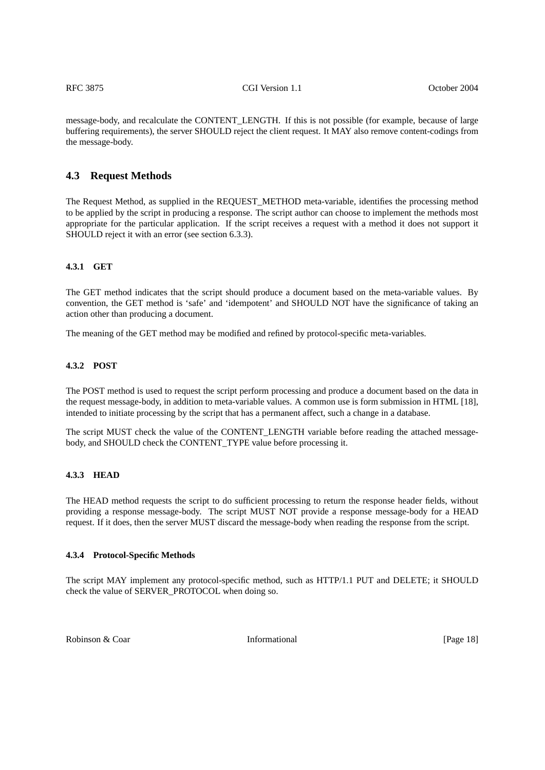message-body, and recalculate the CONTENT\_LENGTH. If this is not possible (for example, because of large buffering requirements), the server SHOULD reject the client request. It MAY also remove content-codings from the message-body.

#### <span id="page-17-0"></span>**4.3 Request Methods**

The Request Method, as supplied in the REQUEST\_METHOD meta-variable, identifies the processing method to be applied by the script in producing a response. The script author can choose to implement the methods most appropriate for the particular application. If the script receives a request with a method it does not support it SHOULD reject it with an error (see [section 6.3.3\)](#page-22-1).

### <span id="page-17-1"></span>**4.3.1 GET**

The GET method indicates that the script should produce a document based on the meta-variable values. By convention, the GET method is 'safe' and 'idempotent' and SHOULD NOT have the significance of taking an action other than producing a document.

The meaning of the GET method may be modified and refined by protocol-specific meta-variables.

#### <span id="page-17-2"></span>**4.3.2 POST**

The POST method is used to request the script perform processing and produce a document based on the data in the request message-body, in addition to meta-variable values. A common use is form submission in HTML [18], intended to initiate processing by the script that has a permanent affect, such a change in a database.

The script MUST check the value of the CONTENT\_LENGTH variable before reading the attached messagebody, and SHOULD check the CONTENT\_TYPE value before processing it.

#### <span id="page-17-3"></span>**4.3.3 HEAD**

The HEAD method requests the script to do sufficient processing to return the response header fields, without providing a response message-body. The script MUST NOT provide a response message-body for a HEAD request. If it does, then the server MUST discard the message-body when reading the response from the script.

#### **4.3.4 Protocol-Specific Methods**

The script MAY implement any protocol-specific method, such as HTTP/1.1 PUT and DELETE; it SHOULD check the value of SERVER\_PROTOCOL when doing so.

Robinson & Coar **Informational Informational IPage 18**]

<span id="page-17-4"></span>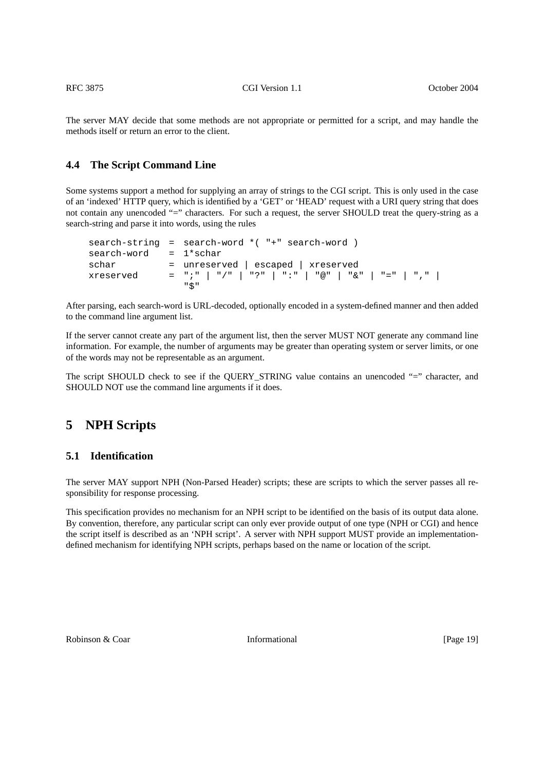The server MAY decide that some methods are not appropriate or permitted for a script, and may handle the methods itself or return an error to the client.

# <span id="page-18-0"></span>**4.4 The Script Command Line**

Some systems support a method for supplying an array of strings to the CGI script. This is only used in the case of an 'indexed' HTTP query, which is identified by a 'GET' or 'HEAD' request with a URI query string that does not contain any unencoded "=" characters. For such a request, the server SHOULD treat the query-string as a search-string and parse it into words, using the rules

```
search-string = search-word *( "+" search-word )
search-word = 1*scharschar = unreserved | escaped | xreserved
xreserved = ";" | "/" | "?" | ":" | "@" | "&" | "=" | "," |
               "$"
```
After parsing, each search-word is URL-decoded, optionally encoded in a system-defined manner and then added to the command line argument list.

If the server cannot create any part of the argument list, then the server MUST NOT generate any command line information. For example, the number of arguments may be greater than operating system or server limits, or one of the words may not be representable as an argument.

The script SHOULD check to see if the QUERY\_STRING value contains an unencoded "=" character, and SHOULD NOT use the command line arguments if it does.

# <span id="page-18-1"></span>**5 NPH Scripts**

### <span id="page-18-2"></span>**5.1 Identification**

The server MAY support NPH (Non-Parsed Header) scripts; these are scripts to which the server passes all responsibility for response processing.

This specification provides no mechanism for an NPH script to be identified on the basis of its output data alone. By convention, therefore, any particular script can only ever provide output of one type (NPH or CGI) and hence the script itself is described as an 'NPH script'. A server with NPH support MUST provide an implementationdefined mechanism for identifying NPH scripts, perhaps based on the name or location of the script.

Robinson & Coar **Informational Informational** [Page 19]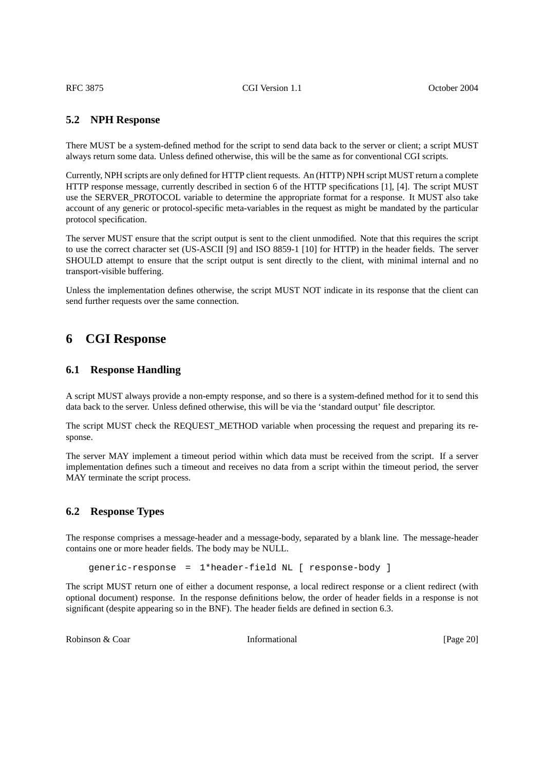### <span id="page-19-0"></span>**5.2 NPH Response**

There MUST be a system-defined method for the script to send data back to the server or client; a script MUST always return some data. Unless defined otherwise, this will be the same as for conventional CGI scripts.

Currently, NPH scripts are only defined for HTTP client requests. An (HTTP) NPH script MUST return a complete HTTP response message, currently described in section 6 of the HTTP specifications [1], [4]. The script MUST use the SERVER\_PROTOCOL variable to determine the appropriate format for a response. It MUST also take account of any generic or protocol-specific meta-variables in the request as might be mandated by the particular protocol specification.

The server MUST ensure that the script output is sent to the client unmodified. Note that this requires the script to use the correct character set (US-ASCII [9] and ISO 8859-1 [10] for HTTP) in the header fields. The server SHOULD attempt to ensure that the script output is sent directly to the client, with minimal internal and no transport-visible buffering.

Unless the implementation defines otherwise, the script MUST NOT indicate in its response that the client can send further requests over the same connection.

# <span id="page-19-1"></span>**6 CGI Response**

#### <span id="page-19-2"></span>**6.1 Response Handling**

A script MUST always provide a non-empty response, and so there is a system-defined method for it to send this data back to the server. Unless defined otherwise, this will be via the 'standard output' file descriptor.

The script MUST check the REQUEST\_METHOD variable when processing the request and preparing its response.

The server MAY implement a timeout period within which data must be received from the script. If a server implementation defines such a timeout and receives no data from a script within the timeout period, the server MAY terminate the script process.

### **6.2 Response Types**

The response comprises a message-header and a message-body, separated by a blank line. The message-header contains one or more header fields. The body may be NULL.

<span id="page-19-3"></span>generic-response = 1\*header-field NL [ response-body ]

The script MUST return one of either a document response, a local redirect response or a client redirect (with optional document) response. In the response definitions below, the order of header fields in a response is not significant (despite appearing so in the BNF). The header fields are defined in [section 6.3](#page-21-0).

Robinson & Coar **Informational Informational** [Page 20]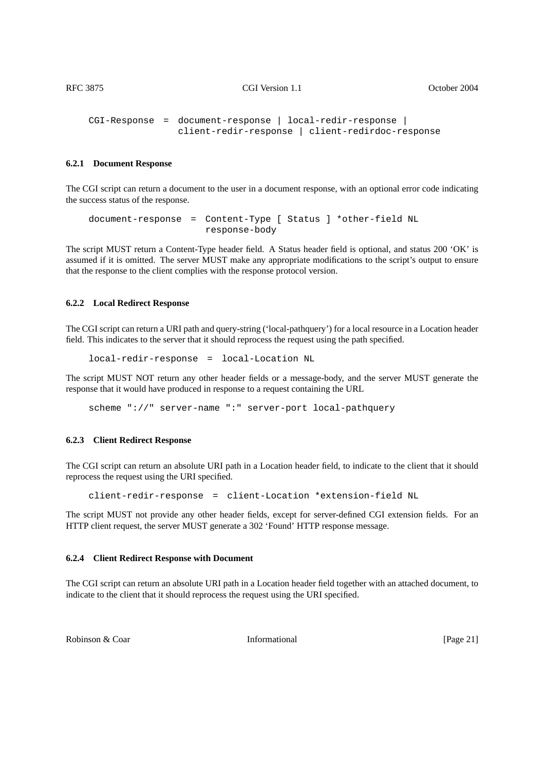```
CGI-Response = document-response | local-redir-response |
                client-redir-response | client-redirdoc-response
```
#### **6.2.1 Document Response**

The CGI script can return a document to the user in a document response, with an optional error code indicating the success status of the response.

document-response = Content-Type [ Status ] \*other-field NL response-body

The script MUST return a Content-Type header field. A Status header field is optional, and status 200 'OK' is assumed if it is omitted. The server MUST make any appropriate modifications to the script's output to ensure that the response to the client complies with the response protocol version.

#### **6.2.2 Local Redirect Response**

The CGI script can return a URI path and query-string ('local-pathquery') for a local resource in a Location header field. This indicates to the server that it should reprocess the request using the path specified.

<span id="page-20-1"></span>local-redir-response = local-Location NL

The script MUST NOT return any other header fields or a message-body, and the server MUST generate the response that it would have produced in response to a request containing the URL

<span id="page-20-2"></span>scheme "://" server-name ":" server-port local-pathquery

#### **6.2.3 Client Redirect Response**

The CGI script can return an absolute URI path in a Location header field, to indicate to the client that it should reprocess the request using the URI specified.

client-redir-response = client-Location \*extension-field NL

The script MUST not provide any other header fields, except for server-defined CGI extension fields. For an HTTP client request, the server MUST generate a 302 'Found' HTTP response message.

#### **6.2.4 Client Redirect Response with Document**

The CGI script can return an absolute URI path in a Location header field together with an attached document, to indicate to the client that it should reprocess the request using the URI specified.

Robinson & Coar **Informational Informational** [Page 21]

<span id="page-20-3"></span>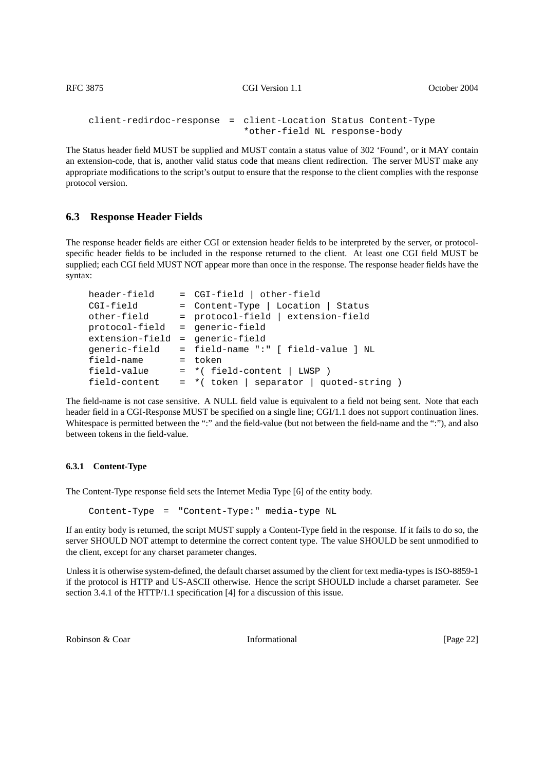```
client-redirdoc-response = client-Location Status Content-Type
                            *other-field NL response-body
```
The Status header field MUST be supplied and MUST contain a status value of 302 'Found', or it MAY contain an extension-code, that is, another valid status code that means client redirection. The server MUST make any appropriate modifications to the script's output to ensure that the response to the client complies with the response protocol version.

# <span id="page-21-0"></span>**6.3 Response Header Fields**

The response header fields are either CGI or extension header fields to be interpreted by the server, or protocolspecific header fields to be included in the response returned to the client. At least one CGI field MUST be supplied; each CGI field MUST NOT appear more than once in the response. The response header fields have the syntax:

| header-field    | = CGI-field   other-field                  |
|-----------------|--------------------------------------------|
| CGI-field       | = Content-Type   Location   Status         |
| other-field     | = protocol-field   extension-field         |
| protocol-field  | = generic-field                            |
| extension-field | = generic-field                            |
| qeneric-field   | = field-name ":" [ field-value ] NL        |
| field-name      | = token                                    |
| field-value     | $= *$ (field-content   LWSP )              |
| field-content   | $= *$ (token   separator   quoted-string ) |

The field-name is not case sensitive. A NULL field value is equivalent to a field not being sent. Note that each header field in a CGI-Response MUST be specified on a single line; CGI/1.1 does not support continuation lines. Whitespace is permitted between the ":" and the field-value (but not between the field-name and the ":"), and also between tokens in the field-value.

### **6.3.1 Content-Type**

The Content-Type response field sets the Internet Media Type [6] of the entity body.

<span id="page-21-1"></span>Content-Type = "Content-Type:" media-type NL

If an entity body is returned, the script MUST supply a Content-Type field in the response. If it fails to do so, the server SHOULD NOT attempt to determine the correct content type. The value SHOULD be sent unmodified to the client, except for any charset parameter changes.

Unless it is otherwise system-defined, the default charset assumed by the client for text media-types is ISO-8859-1 if the protocol is HTTP and US-ASCII otherwise. Hence the script SHOULD include a charset parameter. See section 3.4.1 of the HTTP/1.1 specification [4] for a discussion of this issue.

Robinson & Coar **Informational Informational** [Page 22]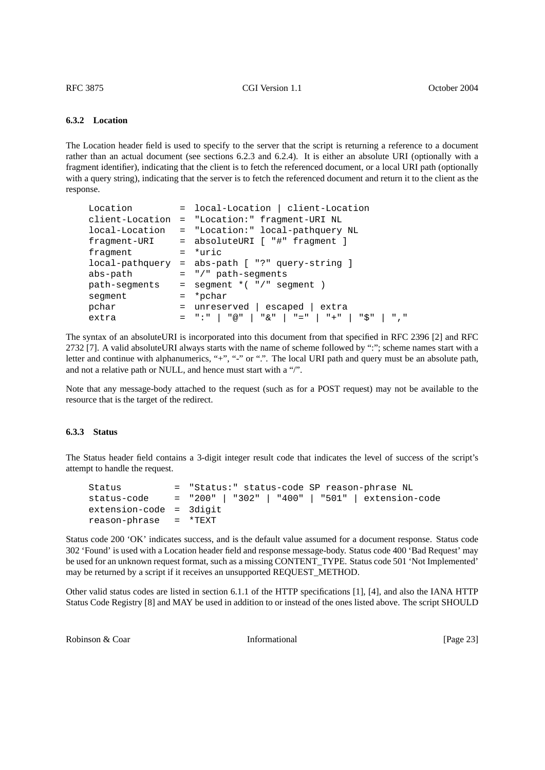#### <span id="page-22-0"></span>**6.3.2 Location**

The Location header field is used to specify to the server that the script is returning a reference to a document rather than an actual document (see sections 6.2.3 and 6.2.4). It is either an absolute URI (optionally with a fragment identifier), indicating that the client is to fetch the referenced document, or a local URI path (optionally with a query string), indicating that the server is to fetch the referenced document and return it to the client as the response.

| Location |  | = local-Location   client-Location                     |
|----------|--|--------------------------------------------------------|
|          |  | client-Location = "Location:" fragment-URI NL          |
|          |  | local-Location = "Location:" local-pathquery NL        |
|          |  | fragment-URI = absoluteURI [ "#" fragment ]            |
| fragment |  | $=$ *uric                                              |
|          |  | $local$ -pathquery = abs-path $[$ "?" query-string $]$ |
| abs-path |  | $=$ "/" path-seqments                                  |
|          |  | $path-segments = segment *("')" segment )$             |
| seqment  |  | = *pchar                                               |
| pchar    |  | $=$ unreserved   escaped   extra                       |
| extra    |  |                                                        |
|          |  |                                                        |

The syntax of an absoluteURI is incorporated into this document from that specified in RFC 2396 [2] and RFC 2732 [7]. A valid absoluteURI always starts with the name of scheme followed by ":"; scheme names start with a letter and continue with alphanumerics, "+", "-" or ".". The local URI path and query must be an absolute path, and not a relative path or NULL, and hence must start with a "/".

Note that any message-body attached to the request (such as for a POST request) may not be available to the resource that is the target of the redirect.

#### <span id="page-22-1"></span>**6.3.3 Status**

The Status header field contains a 3-digit integer result code that indicates the level of success of the script's attempt to handle the request.

| Status                  | = "Status:" status-code SP reason-phrase NL                  |
|-------------------------|--------------------------------------------------------------|
|                         | status-code = "200"   "302"   "400"   "501"   extension-code |
| extension-code = 3digit |                                                              |
| reason-phrase = *TEXT   |                                                              |

Status code 200 'OK' indicates success, and is the default value assumed for a document response. Status code 302 'Found' is used with a Location header field and response message-body. Status code 400 'Bad Request' may be used for an unknown request format, such as a missing CONTENT\_TYPE. Status code 501 'Not Implemented' may be returned by a script if it receives an unsupported REQUEST\_METHOD.

Other valid status codes are listed in section 6.1.1 of the HTTP specifications [1], [4], and also the IANA HTTP Status Code Registry [8] and MAY be used in addition to or instead of the ones listed above. The script SHOULD

Robinson & Coar **Informational Informational** [Page 23]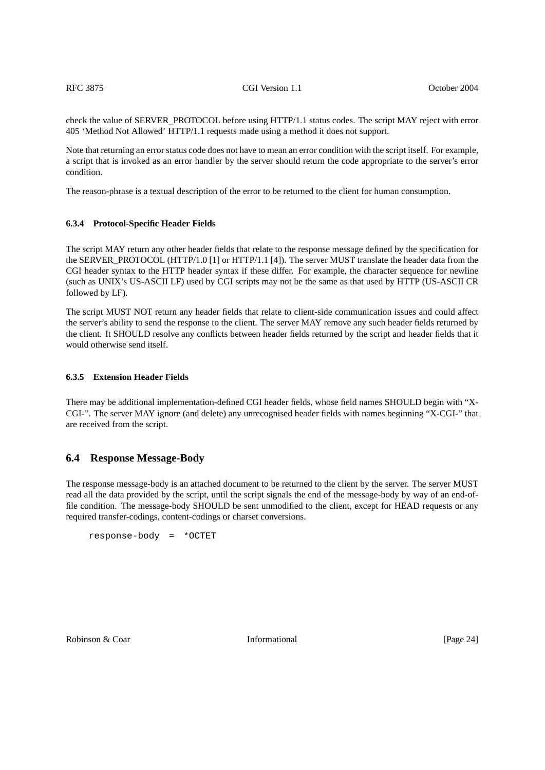check the value of SERVER\_PROTOCOL before using HTTP/1.1 status codes. The script MAY reject with error 405 'Method Not Allowed' HTTP/1.1 requests made using a method it does not support.

Note that returning an error status code does not have to mean an error condition with the script itself. For example, a script that is invoked as an error handler by the server should return the code appropriate to the server's error condition.

The reason-phrase is a textual description of the error to be returned to the client for human consumption.

### <span id="page-23-0"></span>**6.3.4 Protocol-Specific Header Fields**

The script MAY return any other header fields that relate to the response message defined by the specification for the SERVER\_PROTOCOL (HTTP/1.0 [1] or HTTP/1.1 [4]). The server MUST translate the header data from the CGI header syntax to the HTTP header syntax if these differ. For example, the character sequence for newline (such as UNIX's US-ASCII LF) used by CGI scripts may not be the same as that used by HTTP (US-ASCII CR followed by LF).

The script MUST NOT return any header fields that relate to client-side communication issues and could affect the server's ability to send the response to the client. The server MAY remove any such header fields returned by the client. It SHOULD resolve any conflicts between header fields returned by the script and header fields that it would otherwise send itself.

#### <span id="page-23-1"></span>**6.3.5 Extension Header Fields**

There may be additional implementation-defined CGI header fields, whose field names SHOULD begin with "X-CGI-". The server MAY ignore (and delete) any unrecognised header fields with names beginning "X-CGI-" that are received from the script.

# <span id="page-23-2"></span>**6.4 Response Message-Body**

The response message-body is an attached document to be returned to the client by the server. The server MUST read all the data provided by the script, until the script signals the end of the message-body by way of an end-offile condition. The message-body SHOULD be sent unmodified to the client, except for HEAD requests or any required transfer-codings, content-codings or charset conversions.

response-body = \*OCTET

Robinson & Coar **Informational Informational** [Page 24]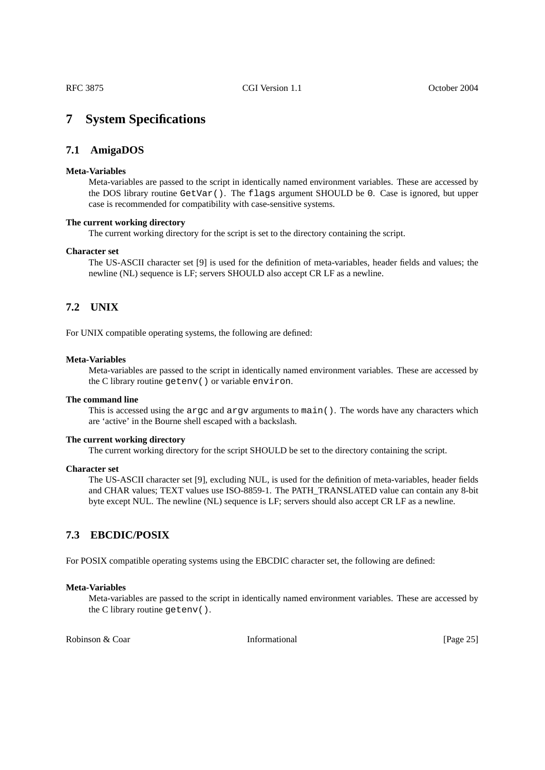# **7 System Specifications**

# **7.1 AmigaDOS**

#### **Meta-Variables**

<span id="page-24-1"></span><span id="page-24-0"></span>Meta-variables are passed to the script in identically named environment variables. These are accessed by the DOS library routine GetVar(). The flags argument SHOULD be 0. Case is ignored, but upper case is recommended for compatibility with case-sensitive systems.

#### **The current working directory**

The current working directory for the script is set to the directory containing the script.

#### **Character set**

<span id="page-24-2"></span>The US-ASCII character set [9] is used for the definition of meta-variables, header fields and values; the newline (NL) sequence is LF; servers SHOULD also accept CR LF as a newline.

# **7.2 UNIX**

For UNIX compatible operating systems, the following are defined:

#### **Meta-Variables**

Meta-variables are passed to the script in identically named environment variables. These are accessed by the C library routine getenv() or variable environ.

#### **The command line**

This is accessed using the argc and argv arguments to main(). The words have any characters which are 'active' in the Bourne shell escaped with a backslash.

#### **The current working directory**

The current working directory for the script SHOULD be set to the directory containing the script.

#### **Character set**

<span id="page-24-3"></span>The US-ASCII character set [9], excluding NUL, is used for the definition of meta-variables, header fields and CHAR values; TEXT values use ISO-8859-1. The PATH\_TRANSLATED value can contain any 8-bit byte except NUL. The newline (NL) sequence is LF; servers should also accept CR LF as a newline.

# **7.3 EBCDIC/POSIX**

For POSIX compatible operating systems using the EBCDIC character set, the following are defined:

#### **Meta-Variables**

Meta-variables are passed to the script in identically named environment variables. These are accessed by the C library routine getenv().

Robinson & Coar **Informational Informational** [Page 25]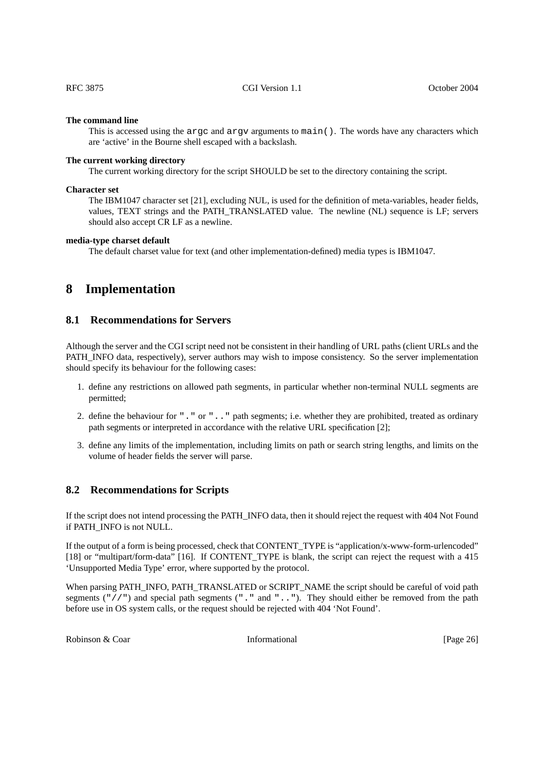#### **The command line**

This is accessed using the argc and argv arguments to main(). The words have any characters which are 'active' in the Bourne shell escaped with a backslash.

#### **The current working directory**

The current working directory for the script SHOULD be set to the directory containing the script.

#### **Character set**

The IBM1047 character set [21], excluding NUL, is used for the definition of meta-variables, header fields, values, TEXT strings and the PATH\_TRANSLATED value. The newline (NL) sequence is LF; servers should also accept CR LF as a newline.

#### **media-type charset default**

<span id="page-25-1"></span><span id="page-25-0"></span>The default charset value for text (and other implementation-defined) media types is IBM1047.

# **8 Implementation**

# **8.1 Recommendations for Servers**

Although the server and the CGI script need not be consistent in their handling of URL paths (client URLs and the PATH\_INFO data, respectively), server authors may wish to impose consistency. So the server implementation should specify its behaviour for the following cases:

- 1. define any restrictions on allowed path segments, in particular whether non-terminal NULL segments are permitted;
- 2. define the behaviour for "." or ".." path segments; i.e. whether they are prohibited, treated as ordinary path segments or interpreted in accordance with the relative URL specification [2];
- 3. define any limits of the implementation, including limits on path or search string lengths, and limits on the volume of header fields the server will parse.

### **8.2 Recommendations for Scripts**

If the script does not intend processing the PATH\_INFO data, then it should reject the request with 404 Not Found if PATH\_INFO is not NULL.

If the output of a form is being processed, check that CONTENT TYPE is "application/x-www-form-urlencoded" [18] or "multipart/form-data" [16]. If CONTENT TYPE is blank, the script can reject the request with a 415 'Unsupported Media Type' error, where supported by the protocol.

When parsing PATH\_INFO, PATH\_TRANSLATED or SCRIPT\_NAME the script should be careful of void path segments  $(\frac{m}{\ell})^n$  and special path segments  $(\frac{m}{\ell}, \frac{m}{\ell}, \frac{m}{\ell})$ . They should either be removed from the path before use in OS system calls, or the request should be rejected with 404 'Not Found'.

Robinson & Coar **Informational Informational** [Page 26]

<span id="page-25-2"></span>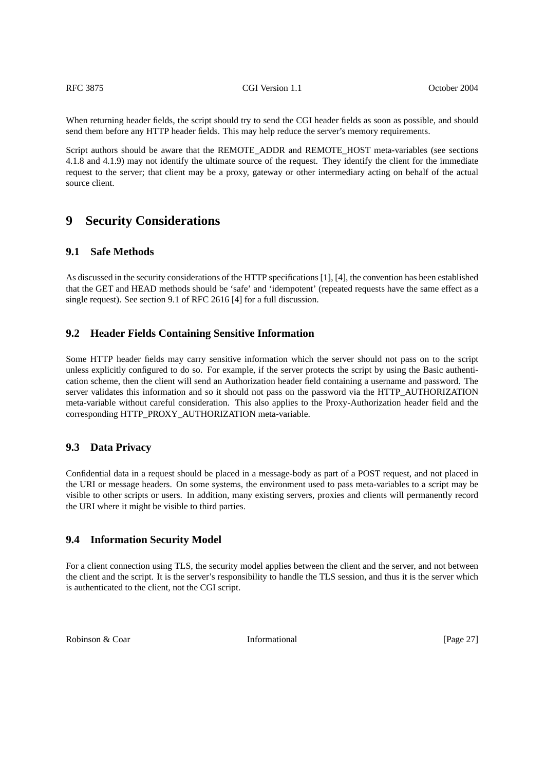When returning header fields, the script should try to send the CGI header fields as soon as possible, and should send them before any HTTP header fields. This may help reduce the server's memory requirements.

Script authors should be aware that the REMOTE\_ADDR and REMOTE\_HOST meta-variables (see sections 4.1.8 and 4.1.9) may not identify the ultimate source of the request. They identify the client for the immediate request to the server; that client may be a proxy, gateway or other intermediary acting on behalf of the actual source client.

# <span id="page-26-0"></span>**9 Security Considerations**

### <span id="page-26-1"></span>**9.1 Safe Methods**

As discussed in the security considerations of the HTTP specifications [1], [4], the convention has been established that the GET and HEAD methods should be 'safe' and 'idempotent' (repeated requests have the same effect as a single request). See section 9.1 of RFC 2616 [4] for a full discussion.

### <span id="page-26-2"></span>**9.2 Header Fields Containing Sensitive Information**

Some HTTP header fields may carry sensitive information which the server should not pass on to the script unless explicitly configured to do so. For example, if the server protects the script by using the Basic authentication scheme, then the client will send an Authorization header field containing a username and password. The server validates this information and so it should not pass on the password via the HTTP\_AUTHORIZATION meta-variable without careful consideration. This also applies to the Proxy-Authorization header field and the corresponding HTTP\_PROXY\_AUTHORIZATION meta-variable.

### <span id="page-26-3"></span>**9.3 Data Privacy**

Confidential data in a request should be placed in a message-body as part of a POST request, and not placed in the URI or message headers. On some systems, the environment used to pass meta-variables to a script may be visible to other scripts or users. In addition, many existing servers, proxies and clients will permanently record the URI where it might be visible to third parties.

# **9.4 Information Security Model**

For a client connection using TLS, the security model applies between the client and the server, and not between the client and the script. It is the server's responsibility to handle the TLS session, and thus it is the server which is authenticated to the client, not the CGI script.

Robinson & Coar **Informational Informational** [Page 27]

<span id="page-26-4"></span>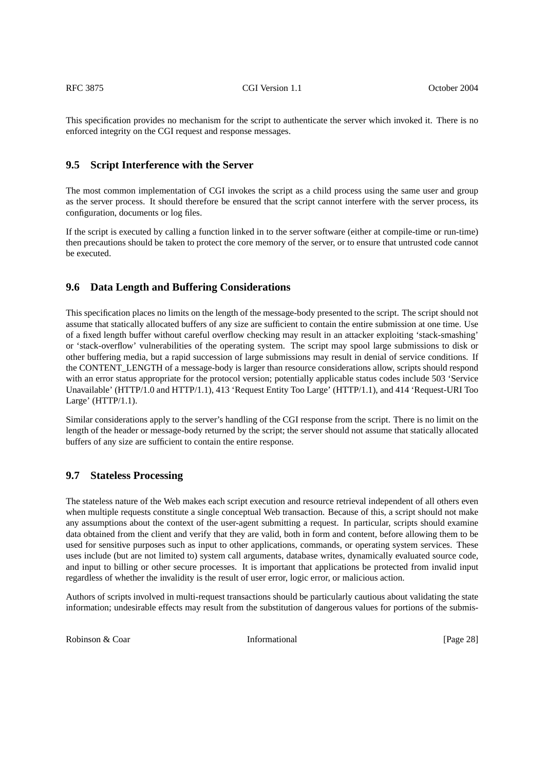This specification provides no mechanism for the script to authenticate the server which invoked it. There is no enforced integrity on the CGI request and response messages.

### <span id="page-27-0"></span>**9.5 Script Interference with the Server**

The most common implementation of CGI invokes the script as a child process using the same user and group as the server process. It should therefore be ensured that the script cannot interfere with the server process, its configuration, documents or log files.

If the script is executed by calling a function linked in to the server software (either at compile-time or run-time) then precautions should be taken to protect the core memory of the server, or to ensure that untrusted code cannot be executed.

### <span id="page-27-1"></span>**9.6 Data Length and Buffering Considerations**

This specification places no limits on the length of the message-body presented to the script. The script should not assume that statically allocated buffers of any size are sufficient to contain the entire submission at one time. Use of a fixed length buffer without careful overflow checking may result in an attacker exploiting 'stack-smashing' or 'stack-overflow' vulnerabilities of the operating system. The script may spool large submissions to disk or other buffering media, but a rapid succession of large submissions may result in denial of service conditions. If the CONTENT\_LENGTH of a message-body is larger than resource considerations allow, scripts should respond with an error status appropriate for the protocol version; potentially applicable status codes include 503 'Service Unavailable' (HTTP/1.0 and HTTP/1.1), 413 'Request Entity Too Large' (HTTP/1.1), and 414 'Request-URI Too Large' (HTTP/1.1).

Similar considerations apply to the server's handling of the CGI response from the script. There is no limit on the length of the header or message-body returned by the script; the server should not assume that statically allocated buffers of any size are sufficient to contain the entire response.

# <span id="page-27-2"></span>**9.7 Stateless Processing**

The stateless nature of the Web makes each script execution and resource retrieval independent of all others even when multiple requests constitute a single conceptual Web transaction. Because of this, a script should not make any assumptions about the context of the user-agent submitting a request. In particular, scripts should examine data obtained from the client and verify that they are valid, both in form and content, before allowing them to be used for sensitive purposes such as input to other applications, commands, or operating system services. These uses include (but are not limited to) system call arguments, database writes, dynamically evaluated source code, and input to billing or other secure processes. It is important that applications be protected from invalid input regardless of whether the invalidity is the result of user error, logic error, or malicious action.

Authors of scripts involved in multi-request transactions should be particularly cautious about validating the state information; undesirable effects may result from the substitution of dangerous values for portions of the submis-

Robinson & Coar **Informational Informational IPage 28**]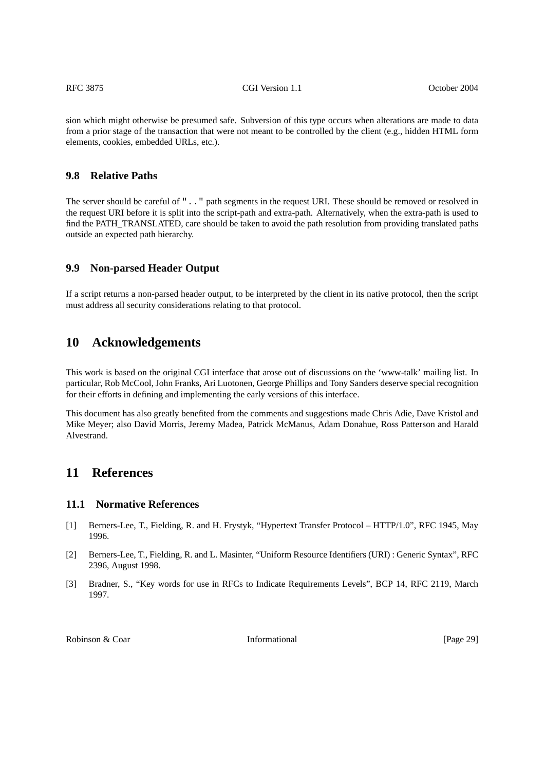sion which might otherwise be presumed safe. Subversion of this type occurs when alterations are made to data from a prior stage of the transaction that were not meant to be controlled by the client (e.g., hidden HTML form elements, cookies, embedded URLs, etc.).

### <span id="page-28-0"></span>**9.8 Relative Paths**

The server should be careful of ".." path segments in the request URI. These should be removed or resolved in the request URI before it is split into the script-path and extra-path. Alternatively, when the extra-path is used to find the PATH\_TRANSLATED, care should be taken to avoid the path resolution from providing translated paths outside an expected path hierarchy.

# <span id="page-28-1"></span>**9.9 Non-parsed Header Output**

If a script returns a non-parsed header output, to be interpreted by the client in its native protocol, then the script must address all security considerations relating to that protocol.

# <span id="page-28-2"></span>**10 Acknowledgements**

This work is based on the original CGI interface that arose out of discussions on the 'www-talk' mailing list. In particular, Rob McCool, John Franks, Ari Luotonen, George Phillips and Tony Sanders deserve special recognition for their efforts in defining and implementing the early versions of this interface.

This document has also greatly benefited from the comments and suggestions made Chris Adie, Dave Kristol and Mike Meyer; also David Morris, Jeremy Madea, Patrick McManus, Adam Donahue, Ross Patterson and Harald Alvestrand.

# <span id="page-28-3"></span>**11 References**

### <span id="page-28-4"></span>**11.1 Normative References**

- [1] Berners-Lee, T., Fielding, R. and H. Frystyk, "Hypertext Transfer Protocol HTTP/1.0", RFC 1945, May 1996.
- [2] Berners-Lee, T., Fielding, R. and L. Masinter, "Uniform Resource Identifiers (URI) : Generic Syntax", RFC 2396, August 1998.
- [3] Bradner, S., "Key words for use in RFCs to Indicate Requirements Levels", BCP 14, RFC 2119, March 1997.

Robinson & Coar **Informational Informational** [Page 29]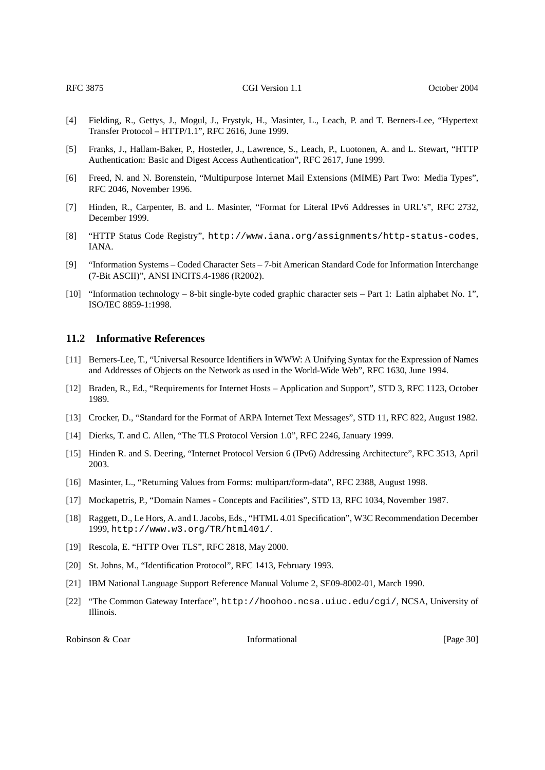- [4] Fielding, R., Gettys, J., Mogul, J., Frystyk, H., Masinter, L., Leach, P. and T. Berners-Lee, "Hypertext Transfer Protocol – HTTP/1.1", RFC 2616, June 1999.
- [5] Franks, J., Hallam-Baker, P., Hostetler, J., Lawrence, S., Leach, P., Luotonen, A. and L. Stewart, "HTTP Authentication: Basic and Digest Access Authentication", RFC 2617, June 1999.
- [6] Freed, N. and N. Borenstein, "Multipurpose Internet Mail Extensions (MIME) Part Two: Media Types", RFC 2046, November 1996.
- [7] Hinden, R., Carpenter, B. and L. Masinter, "Format for Literal IPv6 Addresses in URL's", RFC 2732, December 1999.
- [8] "HTTP Status Code Registry", http://www.iana.org/assignments/http-status-codes, IANA.
- [9] "Information Systems Coded Character Sets 7-bit American Standard Code for Information Interchange (7-Bit ASCII)", ANSI INCITS.4-1986 (R2002).
- [10] "Information technology 8-bit single-byte coded graphic character sets Part 1: Latin alphabet No. 1", ISO/IEC 8859-1:1998.

### <span id="page-29-0"></span>**11.2 Informative References**

- [11] Berners-Lee, T., "Universal Resource Identifiers in WWW: A Unifying Syntax for the Expression of Names and Addresses of Objects on the Network as used in the World-Wide Web", RFC 1630, June 1994.
- [12] Braden, R., Ed., "Requirements for Internet Hosts Application and Support", STD 3, RFC 1123, October 1989.
- [13] Crocker, D., "Standard for the Format of ARPA Internet Text Messages", STD 11, RFC 822, August 1982.
- [14] Dierks, T. and C. Allen, "The TLS Protocol Version 1.0", RFC 2246, January 1999.
- [15] Hinden R. and S. Deering, "Internet Protocol Version 6 (IPv6) Addressing Architecture", RFC 3513, April 2003.
- [16] Masinter, L., "Returning Values from Forms: multipart/form-data", RFC 2388, August 1998.
- [17] Mockapetris, P., "Domain Names Concepts and Facilities", STD 13, RFC 1034, November 1987.
- [18] Raggett, D., Le Hors, A. and I. Jacobs, Eds., "HTML 4.01 Specification", W3C Recommendation December 1999, http://www.w3.org/TR/html401/.
- [19] Rescola, E. "HTTP Over TLS", RFC 2818, May 2000.
- [20] St. Johns, M., "Identification Protocol", RFC 1413, February 1993.
- [21] IBM National Language Support Reference Manual Volume 2, SE09-8002-01, March 1990.
- [22] "The Common Gateway Interface", http://hoohoo.ncsa.uiuc.edu/cgi/, NCSA, University of Illinois.

Robinson & Coar **Informational Informational** [Page 30]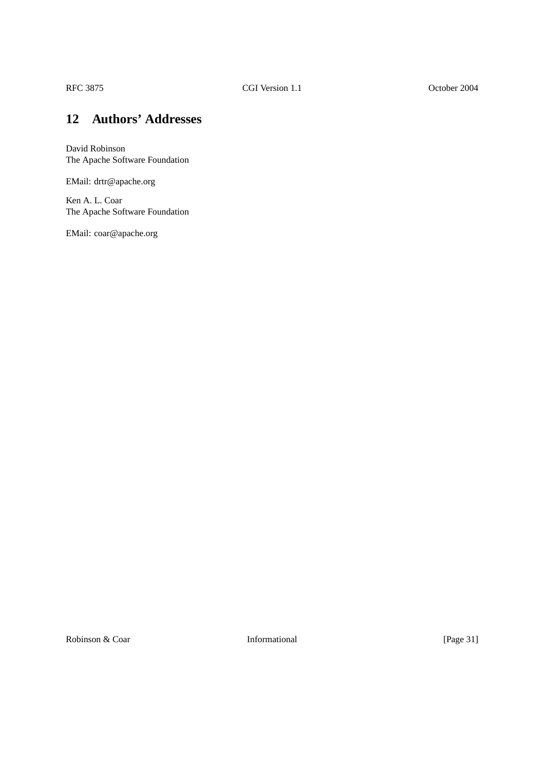# <span id="page-30-0"></span>**12 Authors' Addresses**

David Robinson The Apache Software Foundation

EMail: drtr@apache.org

Ken A. L. Coar The Apache Software Foundation

EMail: coar@apache.org

Robinson & Coar Informational [Page 31]